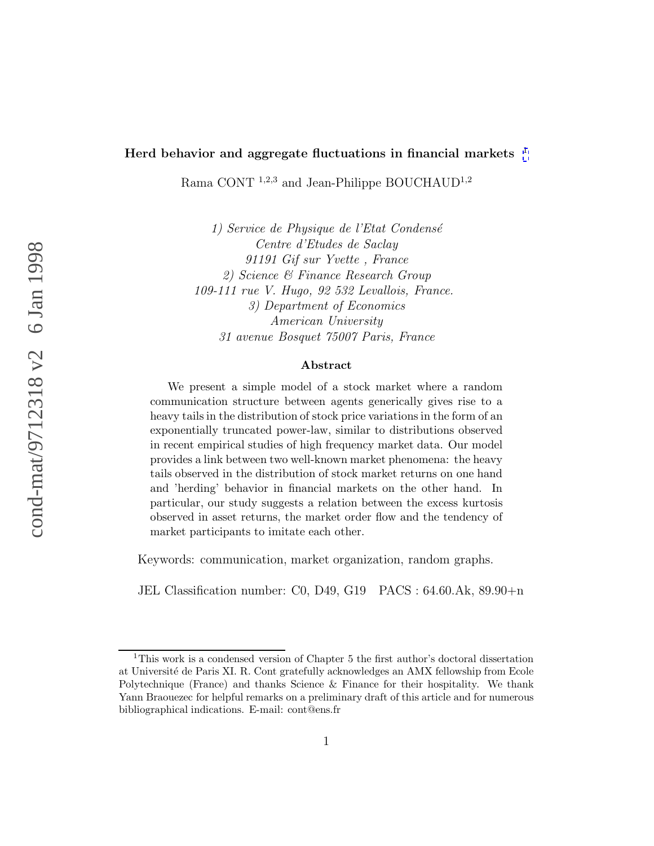#### **Herd behavior and aggregate fluctuations in financial markets** 1

Rama CONT<sup>1,2,3</sup> and Jean-Philippe BOUCHAUD<sup>1,2</sup>

1) Service de Physique de l'Etat Condensé Centre d'Etudes de Saclay 91191 Gif sur Yvette , France 2) Science & Finance Research Group 109-111 rue V. Hugo, 92 532 Levallois, France. 3) Department of Economics American University 31 avenue Bosquet 75007 Paris, France

#### **Abstract**

We present a simple model of a stock market where a random communication structure between agents generically gives rise to a heavy tails in the distribution of stock price variations in the form of an exponentially truncated power-law, similar to distributions observed in recent empirical studies of high frequency market data. Our model provides a link between two well-known market phenomena: the heavy tails observed in the distribution of stock market returns on one hand and 'herding' behavior in financial markets on the other hand. In particular, our study suggests a relation between the excess kurtosis observed in asset returns, the market order flow and the tendency of market participants to imitate each other.

Keywords: communication, market organization, random graphs.

JEL Classification number: C0, D49, G19 PACS : 64.60.Ak, 89.90+n

 $1$ This work is a condensed version of Chapter 5 the first author's doctoral dissertation at Université de Paris XI. R. Cont gratefully acknowledges an AMX fellowship from Ecole Polytechnique (France) and thanks Science & Finance for their hospitality. We thank Yann Braouezec for helpful remarks on a preliminary draft of this article and for numerous bibliographical indications. E-mail: cont@ens.fr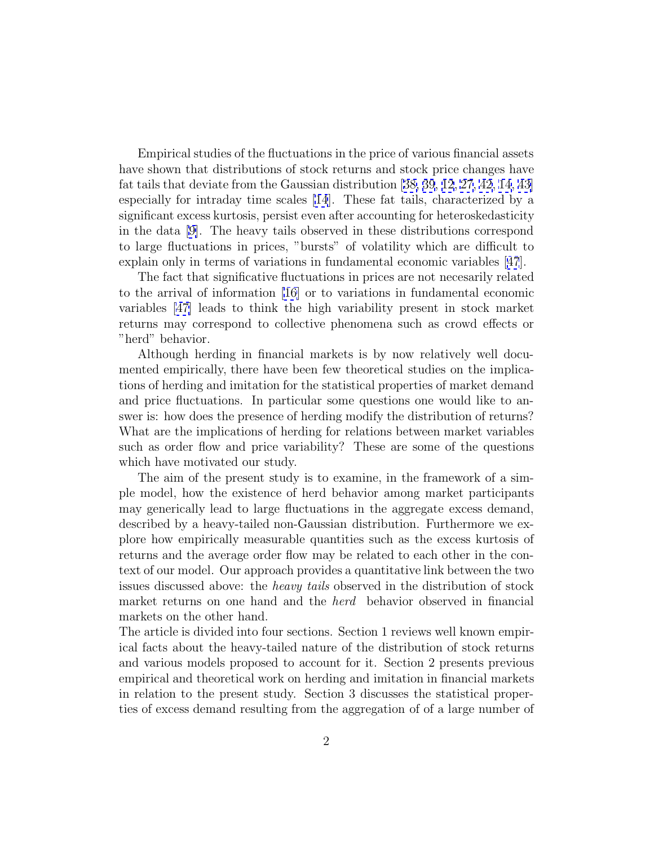Empirical studies of the fluctuations in the price of various financial assets have shown that distributions of stock returns and stock price changes have fat tails that deviate from the Gaussian distribution [[38, 39](#page-20-0), [12](#page-18-0), [27](#page-19-0), [42](#page-20-0), [14,](#page-18-0) [43\]](#page-21-0) especially for intraday time scales [\[14](#page-18-0)]. These fat tails, characterized by a significant excess kurtosis, persist even after accounting for heteroskedasticity in the data [\[9\]](#page-18-0). The heavy tails observed in these distributions correspond to large fluctuations in prices, "bursts" of volatility which are difficult to explain only in terms of variations in fundamental economic variables [[47](#page-21-0)].

The fact that significative fluctuations in prices are not necesarily related to the arrival of information [\[16\]](#page-18-0) or to variations in fundamental economic variables [\[47\]](#page-21-0) leads to think the high variability present in stock market returns may correspond to collective phenomena such as crowd effects or "herd" behavior.

Although herding in financial markets is by now relatively well documented empirically, there have been few theoretical studies on the implications of herding and imitation for the statistical properties of market demand and price fluctuations. In particular some questions one would like to answer is: how does the presence of herding modify the distribution of returns? What are the implications of herding for relations between market variables such as order flow and price variability? These are some of the questions which have motivated our study.

The aim of the present study is to examine, in the framework of a simple model, how the existence of herd behavior among market participants may generically lead to large fluctuations in the aggregate excess demand, described by a heavy-tailed non-Gaussian distribution. Furthermore we explore how empirically measurable quantities such as the excess kurtosis of returns and the average order flow may be related to each other in the context of our model. Our approach provides a quantitative link between the two issues discussed above: the heavy tails observed in the distribution of stock market returns on one hand and the herd behavior observed in financial markets on the other hand.

The article is divided into four sections. Section 1 reviews well known empirical facts about the heavy-tailed nature of the distribution of stock returns and various models proposed to account for it. Section 2 presents previous empirical and theoretical work on herding and imitation in financial markets in relation to the present study. Section 3 discusses the statistical properties of excess demand resulting from the aggregation of of a large number of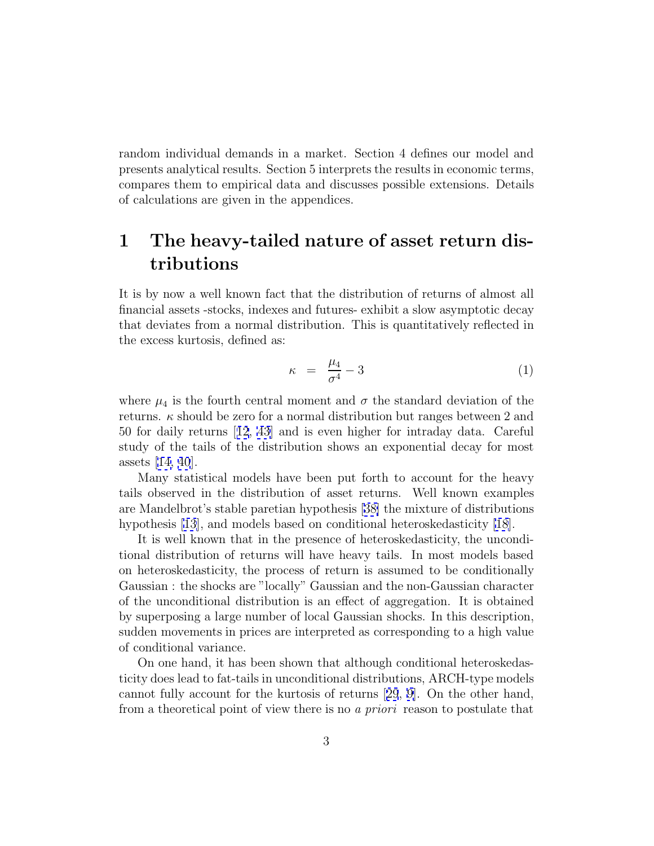random individual demands in a market. Section 4 defines our model and presents analytical results. Section 5 interprets the results in economic terms, compares them to empirical data and discusses possible extensions. Details of calculations are given in the appendices.

# **1 The heavy-tailed nature of asset return distributions**

It is by now a well known fact that the distribution of returns of almost all financial assets -stocks, indexes and futures- exhibit a slow asymptotic decay that deviates from a normal distribution. This is quantitatively reflected in the excess kurtosis, defined as:

$$
\kappa = \frac{\mu_4}{\sigma^4} - 3 \tag{1}
$$

where  $\mu_4$  is the fourth central moment and  $\sigma$  the standard deviation of the returns.  $\kappa$  should be zero for a normal distribution but ranges between 2 and 50 for daily returns [[12](#page-18-0), [43](#page-21-0)] and is even higher for intraday data. Careful study of the tails of the distribution shows an exponential decay for most assets [[14,](#page-18-0) [40](#page-20-0)].

Many statistical models have been put forth to account for the heavy tails observed in the distribution of asset returns. Well known examples are Mandelbrot's stable paretian hypothesis [[38\]](#page-20-0) the mixture of distributions hypothesis [\[13](#page-18-0)], and models based on conditional heteroskedasticity [\[18](#page-19-0)].

It is well known that in the presence of heteroskedasticity, the unconditional distribution of returns will have heavy tails. In most models based on heteroskedasticity, the process of return is assumed to be conditionally Gaussian : the shocks are "locally" Gaussian and the non-Gaussian character of the unconditional distribution is an effect of aggregation. It is obtained by superposing a large number of local Gaussian shocks. In this description, sudden movements in prices are interpreted as corresponding to a high value of conditional variance.

On one hand, it has been shown that although conditional heteroskedasticity does lead to fat-tails in unconditional distributions, ARCH-type models cannot fully account for the kurtosis of returns [[29](#page-19-0), [9\]](#page-18-0). On the other hand, from a theoretical point of view there is no a priori reason to postulate that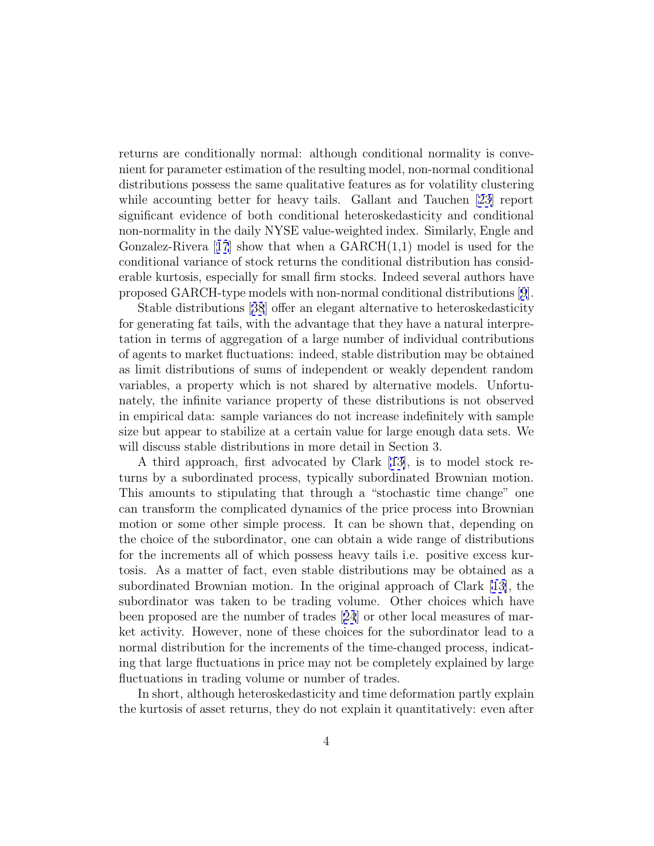returns are conditionally normal: although conditional normality is convenient for parameter estimation of the resulting model, non-normal conditional distributions possess the same qualitative features as for volatility clustering while accounting better for heavy tails. Gallant and Tauchen [\[23\]](#page-19-0) report significant evidence of both conditional heteroskedasticity and conditional non-normality in the daily NYSE value-weighted index. Similarly, Engle and Gonzalez-Rivera [[17](#page-18-0)] show that when a  $GARCH(1,1)$  model is used for the conditional variance of stock returns the conditional distribution has considerable kurtosis, especially for small firm stocks. Indeed several authors have proposed GARCH-type models with non-normal conditional distributions [[9](#page-18-0)].

Stable distributions [[38](#page-20-0)] offer an elegant alternative to heteroskedasticity for generating fat tails, with the advantage that they have a natural interpretation in terms of aggregation of a large number of individual contributions of agents to market fluctuations: indeed, stable distribution may be obtained as limit distributions of sums of independent or weakly dependent random variables, a property which is not shared by alternative models. Unfortunately, the infinite variance property of these distributions is not observed in empirical data: sample variances do not increase indefinitely with sample size but appear to stabilize at a certain value for large enough data sets. We will discuss stable distributions in more detail in Section 3.

A third approach, first advocated by Clark [[13\]](#page-18-0), is to model stock returns by a subordinated process, typically subordinated Brownian motion. This amounts to stipulating that through a "stochastic time change" one can transform the complicated dynamics of the price process into Brownian motion or some other simple process. It can be shown that, depending on the choice of the subordinator, one can obtain a wide range of distributions for the increments all of which possess heavy tails i.e. positive excess kurtosis. As a matter of fact, even stable distributions may be obtained as a subordinated Brownian motion. In the original approach of Clark [\[13\]](#page-18-0), the subordinator was taken to be trading volume. Other choices which have been proposed are the number of trades [[24](#page-19-0)] or other local measures of market activity. However, none of these choices for the subordinator lead to a normal distribution for the increments of the time-changed process, indicating that large fluctuations in price may not be completely explained by large fluctuations in trading volume or number of trades.

In short, although heteroskedasticity and time deformation partly explain the kurtosis of asset returns, they do not explain it quantitatively: even after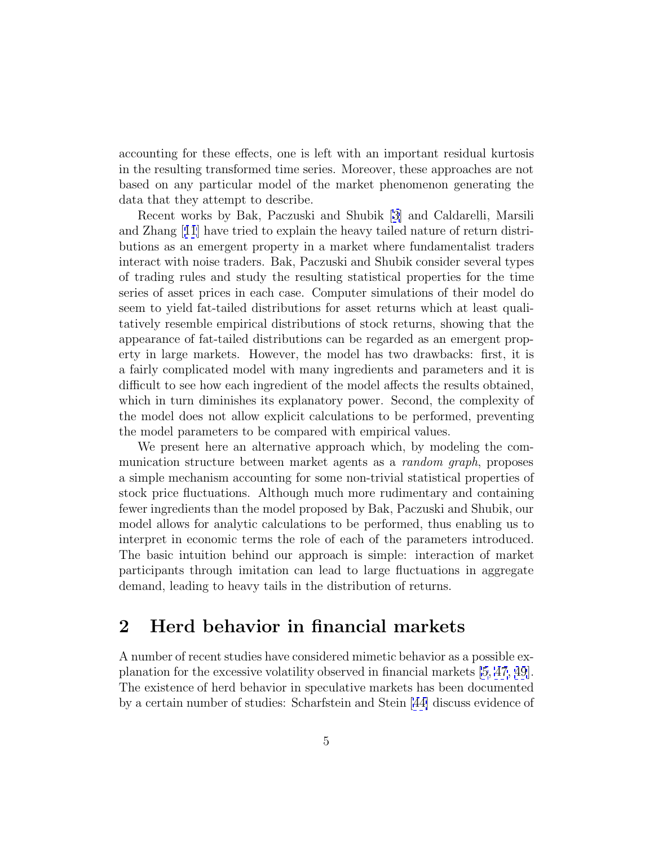accounting for these effects, one is left with an important residual kurtosis in the resulting transformed time series. Moreover, these approaches are not based on any particular model of the market phenomenon generating the data that they attempt to describe.

Recent works by Bak, Paczuski and Shubik [[3\]](#page-17-0) and Caldarelli, Marsili and Zhang [[11](#page-18-0)] have tried to explain the heavy tailed nature of return distributions as an emergent property in a market where fundamentalist traders interact with noise traders. Bak, Paczuski and Shubik consider several types of trading rules and study the resulting statistical properties for the time series of asset prices in each case. Computer simulations of their model do seem to yield fat-tailed distributions for asset returns which at least qualitatively resemble empirical distributions of stock returns, showing that the appearance of fat-tailed distributions can be regarded as an emergent property in large markets. However, the model has two drawbacks: first, it is a fairly complicated model with many ingredients and parameters and it is difficult to see how each ingredient of the model affects the results obtained, which in turn diminishes its explanatory power. Second, the complexity of the model does not allow explicit calculations to be performed, preventing the model parameters to be compared with empirical values.

We present here an alternative approach which, by modeling the communication structure between market agents as a random graph, proposes a simple mechanism accounting for some non-trivial statistical properties of stock price fluctuations. Although much more rudimentary and containing fewer ingredients than the model proposed by Bak, Paczuski and Shubik, our model allows for analytic calculations to be performed, thus enabling us to interpret in economic terms the role of each of the parameters introduced. The basic intuition behind our approach is simple: interaction of market participants through imitation can lead to large fluctuations in aggregate demand, leading to heavy tails in the distribution of returns.

### **2 Herd behavior in financial markets**

A number of recent studies have considered mimetic behavior as a possible explanation for the excessive volatility observed in financial markets [\[5](#page-18-0), [47](#page-21-0), [49](#page-21-0)]. The existence of herd behavior in speculative markets has been documented by a certain number of studies: Scharfstein and Stein [[44\]](#page-21-0) discuss evidence of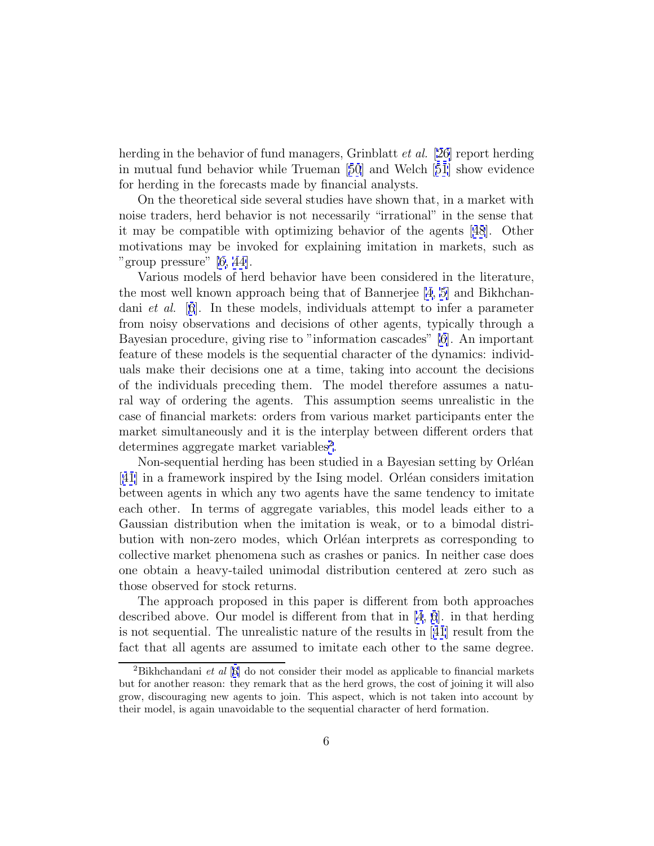herding in the behavior of fund managers, Grinblatt *et al.* [\[26\]](#page-19-0) report herding in mutual fund behavior while Trueman [[50](#page-21-0)] and Welch [[51](#page-21-0)] show evidence for herding in the forecasts made by financial analysts.

On the theoretical side several studies have shown that, in a market with noise traders, herd behavior is not necessarily "irrational" in the sense that it may be compatible with optimizing behavior of the agents [[48](#page-21-0)]. Other motivations may be invoked for explaining imitation in markets, such as "group pressure" [\[6,](#page-18-0) [44\]](#page-21-0).

Various models of herd behavior have been considered in the literature, the most well known approach being that of Bannerjee [\[4](#page-17-0), [5](#page-18-0)] and Bikhchandani et al. [[6](#page-18-0)]. In these models, individuals attempt to infer a parameter from noisy observations and decisions of other agents, typically through a Bayesian procedure, giving rise to "information cascades" [\[6](#page-18-0)]. An important feature of these models is the sequential character of the dynamics: individuals make their decisions one at a time, taking into account the decisions of the individuals preceding them. The model therefore assumes a natural way of ordering the agents. This assumption seems unrealistic in the case of financial markets: orders from various market participants enter the market simultaneously and it is the interplay between different orders that determines aggregate market variables<sup>2</sup>.

Non-sequential herding has been studied in a Bayesian setting by Orléan [[41](#page-20-0)] in a framework inspired by the Ising model. Orléan considers imitation between agents in which any two agents have the same tendency to imitate each other. In terms of aggregate variables, this model leads either to a Gaussian distribution when the imitation is weak, or to a bimodal distribution with non-zero modes, which Orléan interprets as corresponding to collective market phenomena such as crashes or panics. In neither case does one obtain a heavy-tailed unimodal distribution centered at zero such as those observed for stock returns.

The approach proposed in this paper is different from both approaches described above. Our model is different from that in [\[4](#page-17-0), [6](#page-18-0)]. in that herding is not sequential. The unrealistic nature of the results in [[41](#page-20-0)] result from the fact that all agents are assumed to imitate each other to the same degree.

<sup>&</sup>lt;sup>2</sup>Bikhchandani et al  $[6]$  $[6]$  do not consider their model as applicable to financial markets but for another reason: they remark that as the herd grows, the cost of joining it will also grow, discouraging new agents to join. This aspect, which is not taken into account by their model, is again unavoidable to the sequential character of herd formation.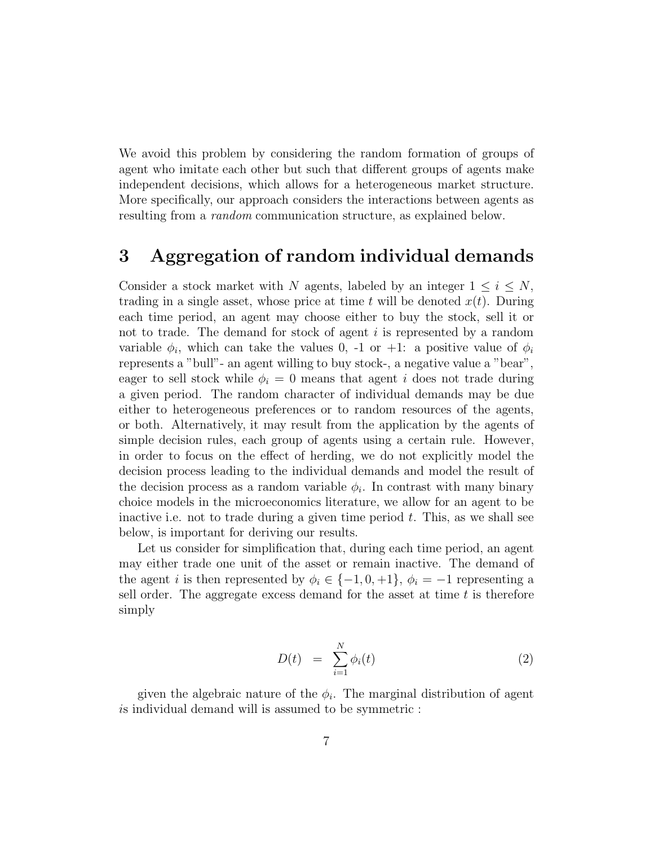<span id="page-6-0"></span>We avoid this problem by considering the random formation of groups of agent who imitate each other but such that different groups of agents make independent decisions, which allows for a heterogeneous market structure. More specifically, our approach considers the interactions between agents as resulting from a *random* communication structure, as explained below.

## **3 Aggregation of random individual demands**

Consider a stock market with N agents, labeled by an integer  $1 \leq i \leq N$ , trading in a single asset, whose price at time t will be denoted  $x(t)$ . During each time period, an agent may choose either to buy the stock, sell it or not to trade. The demand for stock of agent i is represented by a random variable  $\phi_i$ , which can take the values 0, -1 or +1: a positive value of  $\phi_i$ represents a "bull"- an agent willing to buy stock-, a negative value a "bear", eager to sell stock while  $\phi_i = 0$  means that agent i does not trade during a given period. The random character of individual demands may be due either to heterogeneous preferences or to random resources of the agents, or both. Alternatively, it may result from the application by the agents of simple decision rules, each group of agents using a certain rule. However, in order to focus on the effect of herding, we do not explicitly model the decision process leading to the individual demands and model the result of the decision process as a random variable  $\phi_i$ . In contrast with many binary choice models in the microeconomics literature, we allow for an agent to be inactive i.e. not to trade during a given time period  $t$ . This, as we shall see below, is important for deriving our results.

Let us consider for simplification that, during each time period, an agent may either trade one unit of the asset or remain inactive. The demand of the agent i is then represented by  $\phi_i \in \{-1, 0, +1\}, \phi_i = -1$  representing a sell order. The aggregate excess demand for the asset at time  $t$  is therefore simply

$$
D(t) = \sum_{i=1}^{N} \phi_i(t) \tag{2}
$$

given the algebraic nature of the  $\phi_i$ . The marginal distribution of agent is individual demand will is assumed to be symmetric :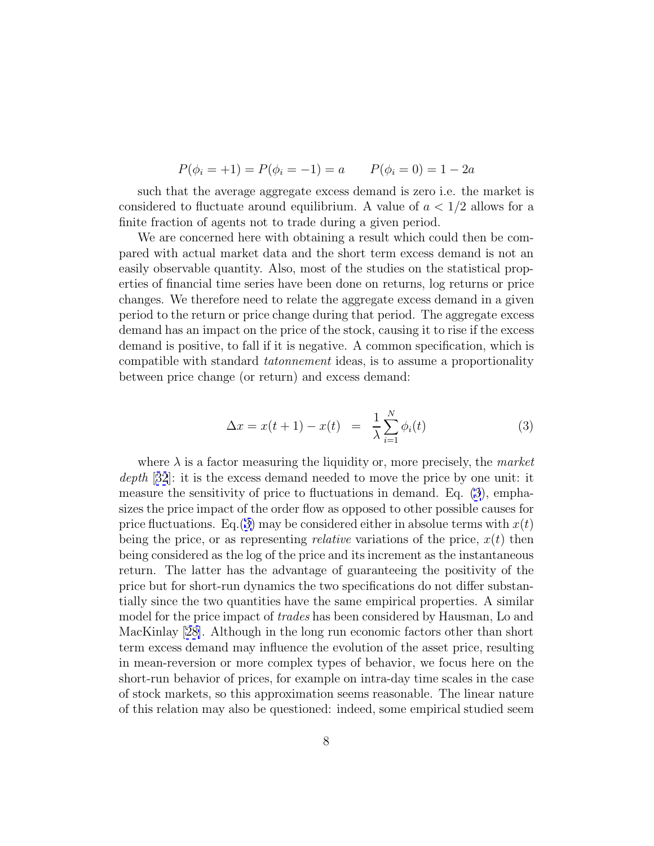$$
P(\phi_i = +1) = P(\phi_i = -1) = a \qquad P(\phi_i = 0) = 1 - 2a
$$

<span id="page-7-0"></span>such that the average aggregate excess demand is zero i.e. the market is considered to fluctuate around equilibrium. A value of  $a < 1/2$  allows for a finite fraction of agents not to trade during a given period.

We are concerned here with obtaining a result which could then be compared with actual market data and the short term excess demand is not an easily observable quantity. Also, most of the studies on the statistical properties of financial time series have been done on returns, log returns or price changes. We therefore need to relate the aggregate excess demand in a given period to the return or price change during that period. The aggregate excess demand has an impact on the price of the stock, causing it to rise if the excess demand is positive, to fall if it is negative. A common specification, which is compatible with standard tatonnement ideas, is to assume a proportionality between price change (or return) and excess demand:

$$
\Delta x = x(t+1) - x(t) = \frac{1}{\lambda} \sum_{i=1}^{N} \phi_i(t)
$$
 (3)

where  $\lambda$  is a factor measuring the liquidity or, more precisely, the *market* depth [[32](#page-20-0)]: it is the excess demand needed to move the price by one unit: it measure the sensitivity of price to fluctuations in demand. Eq. (3), emphasizes the price impact of the order flow as opposed to other possible causes for price fluctuations. Eq.(3) may be considered either in absolue terms with  $x(t)$ being the price, or as representing *relative* variations of the price,  $x(t)$  then being considered as the log of the price and its increment as the instantaneous return. The latter has the advantage of guaranteeing the positivity of the price but for short-run dynamics the two specifications do not differ substantially since the two quantities have the same empirical properties. A similar model for the price impact of trades has been considered by Hausman, Lo and MacKinlay [[28\]](#page-19-0). Although in the long run economic factors other than short term excess demand may influence the evolution of the asset price, resulting in mean-reversion or more complex types of behavior, we focus here on the short-run behavior of prices, for example on intra-day time scales in the case of stock markets, so this approximation seems reasonable. The linear nature of this relation may also be questioned: indeed, some empirical studied seem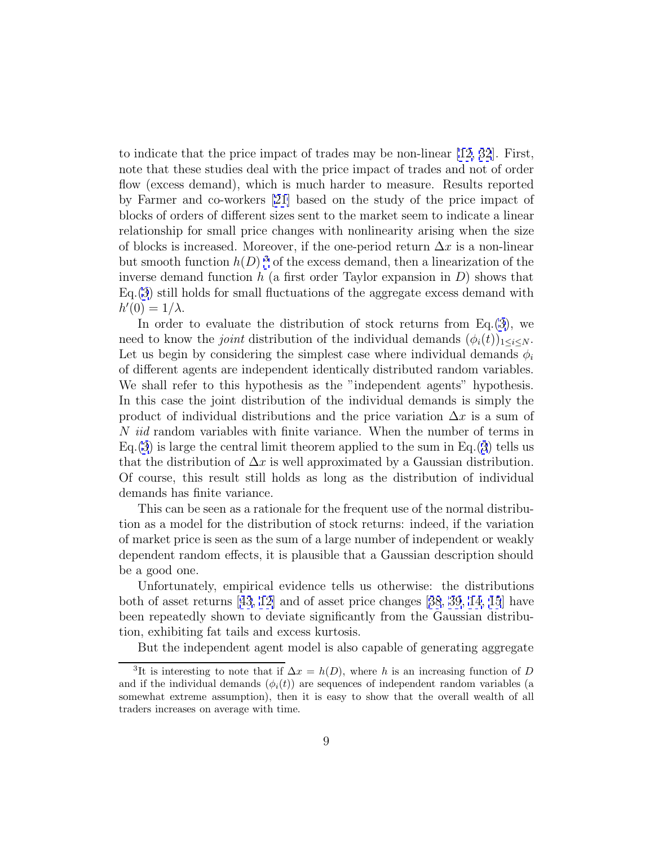to indicate that the price impact of trades may be non-linear [\[12,](#page-18-0) [32](#page-20-0)]. First, note that these studies deal with the price impact of trades and not of order flow (excess demand), which is much harder to measure. Results reported by Farmer and co-workers [\[21\]](#page-19-0) based on the study of the price impact of blocks of orders of different sizes sent to the market seem to indicate a linear relationship for small price changes with nonlinearity arising when the size of blocks is increased. Moreover, if the one-period return  $\Delta x$  is a non-linear but smooth function  $h(D)$ <sup>3</sup> of the excess demand, then a linearization of the inverse demand function  $h$  (a first order Taylor expansion in  $D$ ) shows that  $Eq.(3)$  $Eq.(3)$  $Eq.(3)$  still holds for small fluctuations of the aggregate excess demand with  $h'(0) = 1/\lambda.$ 

In order to evaluate the distribution of stock returns from  $Eq.(3)$  $Eq.(3)$  $Eq.(3)$ , we need to know the *joint* distribution of the individual demands  $(\phi_i(t))_{1\leq i\leq N}$ . Let us begin by considering the simplest case where individual demands  $\phi_i$ of different agents are independent identically distributed random variables. We shall refer to this hypothesis as the "independent agents" hypothesis. In this case the joint distribution of the individual demands is simply the product of individual distributions and the price variation  $\Delta x$  is a sum of N iid random variables with finite variance. When the number of terms in  $Eq.(3)$  $Eq.(3)$  $Eq.(3)$  is large the central limit theorem applied to the sum in Eq.([3](#page-7-0)) tells us that the distribution of  $\Delta x$  is well approximated by a Gaussian distribution. Of course, this result still holds as long as the distribution of individual demands has finite variance.

This can be seen as a rationale for the frequent use of the normal distribution as a model for the distribution of stock returns: indeed, if the variation of market price is seen as the sum of a large number of independent or weakly dependent random effects, it is plausible that a Gaussian description should be a good one.

Unfortunately, empirical evidence tells us otherwise: the distributions both of asset returns [[43](#page-21-0), [12\]](#page-18-0) and of asset price changes [[38](#page-20-0), [39](#page-20-0), [14](#page-18-0), [15](#page-18-0)] have been repeatedly shown to deviate significantly from the Gaussian distribution, exhibiting fat tails and excess kurtosis.

But the independent agent model is also capable of generating aggregate

<sup>&</sup>lt;sup>3</sup>It is interesting to note that if  $\Delta x = h(D)$ , where h is an increasing function of D and if the individual demands  $(\phi_i(t))$  are sequences of independent random variables (a somewhat extreme assumption), then it is easy to show that the overall wealth of all traders increases on average with time.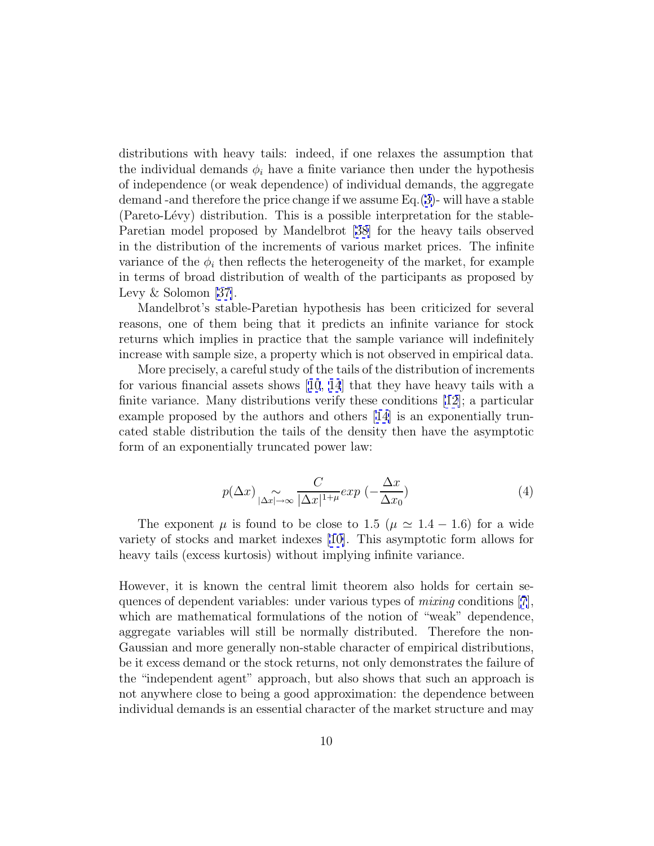distributions with heavy tails: indeed, if one relaxes the assumption that the individual demands  $\phi_i$  have a finite variance then under the hypothesis of independence (or weak dependence) of individual demands, the aggregate demand -and therefore the price change if we assume Eq.([3\)](#page-7-0)- will have a stable (Pareto-Lévy) distribution. This is a possible interpretation for the stable-Paretian model proposed by Mandelbrot [\[38\]](#page-20-0) for the heavy tails observed in the distribution of the increments of various market prices. The infinite variance of the  $\phi_i$  then reflects the heterogeneity of the market, for example in terms of broad distribution of wealth of the participants as proposed by Levy & Solomon [[37\]](#page-20-0).

Mandelbrot's stable-Paretian hypothesis has been criticized for several reasons, one of them being that it predicts an infinite variance for stock returns which implies in practice that the sample variance will indefinitely increase with sample size, a property which is not observed in empirical data.

More precisely, a careful study of the tails of the distribution of increments for various financial assets shows [[10](#page-18-0), [14](#page-18-0)] that they have heavy tails with a finite variance. Many distributions verify these conditions [\[12\]](#page-18-0); a particular example proposed by the authors and others [\[14\]](#page-18-0) is an exponentially truncated stable distribution the tails of the density then have the asymptotic form of an exponentially truncated power law:

$$
p(\Delta x) \underset{|\Delta x| \to \infty}{\sim} \frac{C}{|\Delta x|^{1+\mu}} exp\left(-\frac{\Delta x}{\Delta x_0}\right) \tag{4}
$$

The exponent  $\mu$  is found to be close to 1.5 ( $\mu \simeq 1.4 - 1.6$ ) for a wide variety of stocks and market indexes [\[10\]](#page-18-0). This asymptotic form allows for heavy tails (excess kurtosis) without implying infinite variance.

However, it is known the central limit theorem also holds for certain sequences of dependent variables: under various types of *mixing* conditions  $[7]$  $[7]$  $[7]$ , which are mathematical formulations of the notion of "weak" dependence, aggregate variables will still be normally distributed. Therefore the non-Gaussian and more generally non-stable character of empirical distributions, be it excess demand or the stock returns, not only demonstrates the failure of the "independent agent" approach, but also shows that such an approach is not anywhere close to being a good approximation: the dependence between individual demands is an essential character of the market structure and may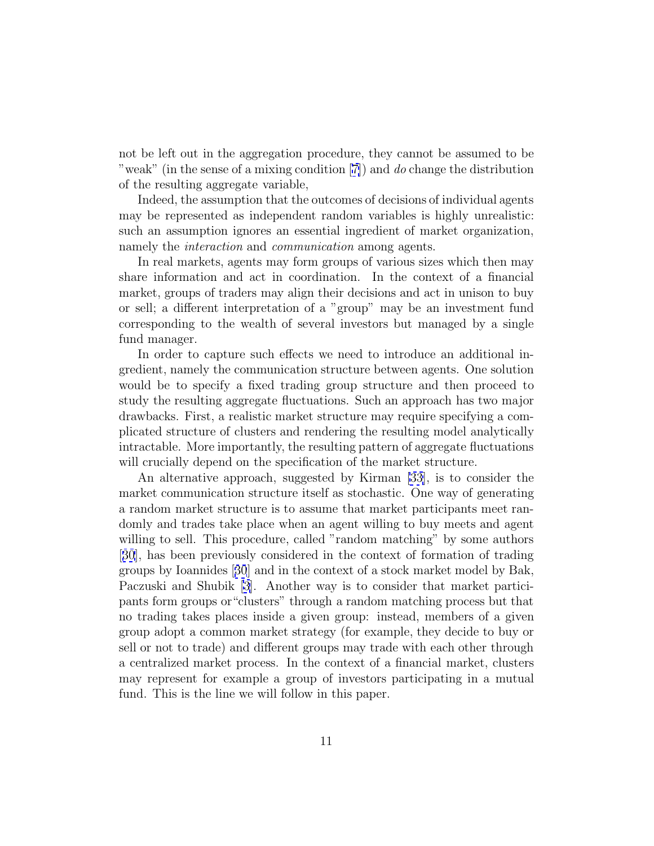not be left out in the aggregation procedure, they cannot be assumed to be "weak" (in the sense of a mixing condition [[7\]](#page-18-0)) and do change the distribution of the resulting aggregate variable,

Indeed, the assumption that the outcomes of decisions of individual agents may be represented as independent random variables is highly unrealistic: such an assumption ignores an essential ingredient of market organization, namely the *interaction* and *communication* among agents.

In real markets, agents may form groups of various sizes which then may share information and act in coordination. In the context of a financial market, groups of traders may align their decisions and act in unison to buy or sell; a different interpretation of a "group" may be an investment fund corresponding to the wealth of several investors but managed by a single fund manager.

In order to capture such effects we need to introduce an additional ingredient, namely the communication structure between agents. One solution would be to specify a fixed trading group structure and then proceed to study the resulting aggregate fluctuations. Such an approach has two major drawbacks. First, a realistic market structure may require specifying a complicated structure of clusters and rendering the resulting model analytically intractable. More importantly, the resulting pattern of aggregate fluctuations will crucially depend on the specification of the market structure.

An alternative approach, suggested by Kirman [\[33\]](#page-20-0), is to consider the market communication structure itself as stochastic. One way of generating a random market structure is to assume that market participants meet randomly and trades take place when an agent willing to buy meets and agent willing to sell. This procedure, called "random matching" by some authors [[30](#page-20-0)], has been previously considered in the context of formation of trading groups by Ioannides [[30](#page-20-0)] and in the context of a stock market model by Bak, Paczuski and Shubik [\[3\]](#page-17-0). Another way is to consider that market participants form groups or"clusters" through a random matching process but that no trading takes places inside a given group: instead, members of a given group adopt a common market strategy (for example, they decide to buy or sell or not to trade) and different groups may trade with each other through a centralized market process. In the context of a financial market, clusters may represent for example a group of investors participating in a mutual fund. This is the line we will follow in this paper.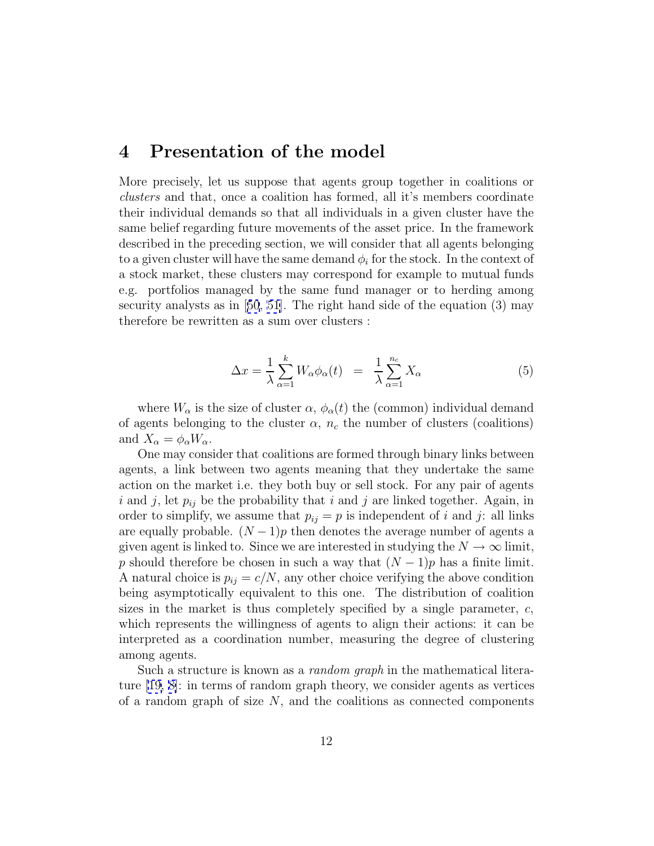### <span id="page-11-0"></span>**4 Presentation of the model**

More precisely, let us suppose that agents group together in coalitions or clusters and that, once a coalition has formed, all it's members coordinate their individual demands so that all individuals in a given cluster have the same belief regarding future movements of the asset price. In the framework described in the preceding section, we will consider that all agents belonging to a given cluster will have the same demand  $\phi_i$  for the stock. In the context of a stock market, these clusters may correspond for example to mutual funds e.g. portfolios managed by the same fund manager or to herding among security analysts as in [[50](#page-21-0), [51\]](#page-21-0). The right hand side of the equation (3) may therefore be rewritten as a sum over clusters :

$$
\Delta x = \frac{1}{\lambda} \sum_{\alpha=1}^{k} W_{\alpha} \phi_{\alpha}(t) = \frac{1}{\lambda} \sum_{\alpha=1}^{n_c} X_{\alpha}
$$
 (5)

where  $W_{\alpha}$  is the size of cluster  $\alpha$ ,  $\phi_{\alpha}(t)$  the (common) individual demand of agents belonging to the cluster  $\alpha$ ,  $n_c$  the number of clusters (coalitions) and  $X_{\alpha} = \phi_{\alpha} W_{\alpha}$ .

One may consider that coalitions are formed through binary links between agents, a link between two agents meaning that they undertake the same action on the market i.e. they both buy or sell stock. For any pair of agents i and j, let  $p_{ij}$  be the probability that i and j are linked together. Again, in order to simplify, we assume that  $p_{ij} = p$  is independent of i and j: all links are equally probable.  $(N-1)p$  then denotes the average number of agents a given agent is linked to. Since we are interested in studying the  $N \to \infty$  limit, p should therefore be chosen in such a way that  $(N-1)p$  has a finite limit. A natural choice is  $p_{ij} = c/N$ , any other choice verifying the above condition being asymptotically equivalent to this one. The distribution of coalition sizes in the market is thus completely specified by a single parameter,  $c$ , which represents the willingness of agents to align their actions: it can be interpreted as a coordination number, measuring the degree of clustering among agents.

Such a structure is known as a random graph in the mathematical literature [\[19,](#page-19-0) [8\]](#page-18-0): in terms of random graph theory, we consider agents as vertices of a random graph of size  $N$ , and the coalitions as connected components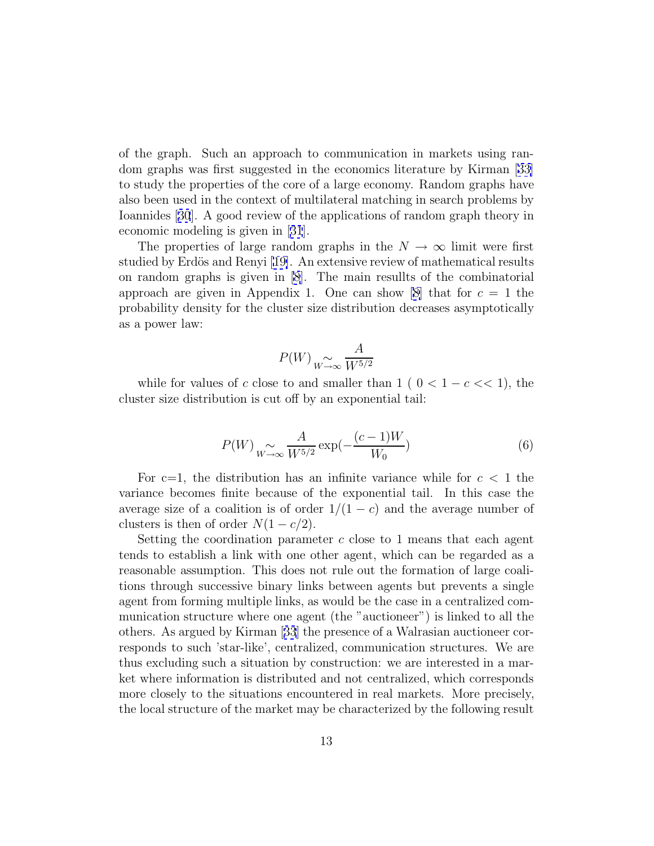<span id="page-12-0"></span>of the graph. Such an approach to communication in markets using random graphs was first suggested in the economics literature by Kirman [\[33\]](#page-20-0) to study the properties of the core of a large economy. Random graphs have also been used in the context of multilateral matching in search problems by Ioannides [[30](#page-20-0)]. A good review of the applications of random graph theory in economic modeling is given in [[31](#page-20-0)].

The properties of large random graphs in the  $N \to \infty$  limit were first studied by Erdös and Renyi [\[19\]](#page-19-0). An extensive review of mathematical results on random graphs is given in [\[8](#page-18-0)]. The main resullts of the combinatorial approach are given in Appendix 1. One can show [[8\]](#page-18-0) that for  $c = 1$  the probability density for the cluster size distribution decreases asymptotically as a power law:

$$
P(W) \underset{W \to \infty}{\sim} \frac{A}{W^{5/2}}
$$

while for values of c close to and smaller than  $1 ( 0 < 1 - c < 1)$ , the cluster size distribution is cut off by an exponential tail:

$$
P(W) \underset{W \to \infty}{\sim} \frac{A}{W^{5/2}} \exp(-\frac{(c-1)W}{W_0})
$$
 (6)

For c=1, the distribution has an infinite variance while for  $c < 1$  the variance becomes finite because of the exponential tail. In this case the average size of a coalition is of order  $1/(1 - c)$  and the average number of clusters is then of order  $N(1 - c/2)$ .

Setting the coordination parameter  $c$  close to 1 means that each agent tends to establish a link with one other agent, which can be regarded as a reasonable assumption. This does not rule out the formation of large coalitions through successive binary links between agents but prevents a single agent from forming multiple links, as would be the case in a centralized communication structure where one agent (the "auctioneer") is linked to all the others. As argued by Kirman [[33](#page-20-0)] the presence of a Walrasian auctioneer corresponds to such 'star-like', centralized, communication structures. We are thus excluding such a situation by construction: we are interested in a market where information is distributed and not centralized, which corresponds more closely to the situations encountered in real markets. More precisely, the local structure of the market may be characterized by the following result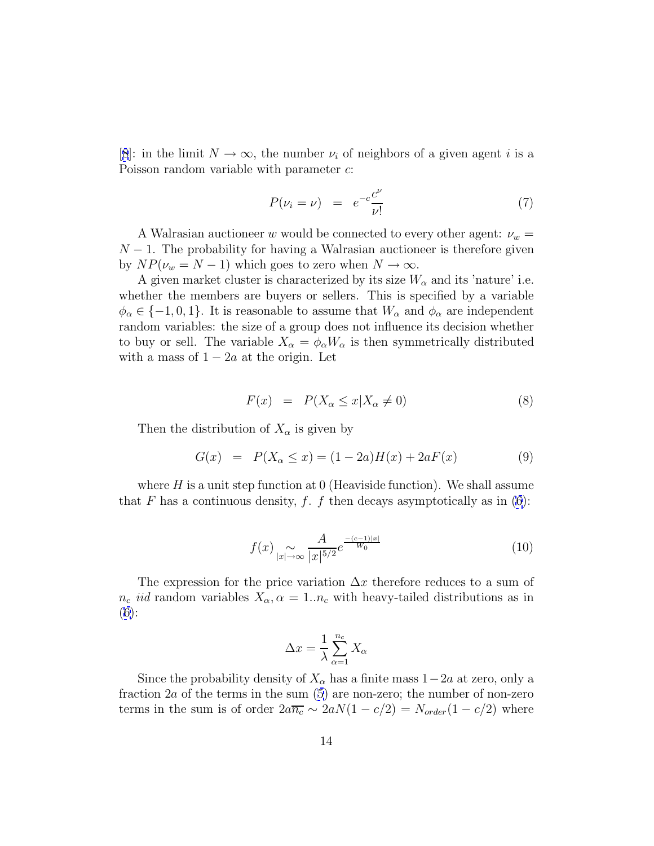[[8](#page-18-0)]: in the limit  $N \to \infty$ , the number  $\nu_i$  of neighbors of a given agent i is a Poisson random variable with parameter c:

$$
P(\nu_i = \nu) = e^{-c} \frac{c^{\nu}}{\nu!}
$$
 (7)

A Walrasian auctioneer w would be connected to every other agent:  $\nu_w$  =  $N-1$ . The probability for having a Walrasian auctioneer is therefore given by  $NP(\nu_w = N - 1)$  which goes to zero when  $N \to \infty$ .

A given market cluster is characterized by its size  $W_{\alpha}$  and its 'nature' i.e. whether the members are buyers or sellers. This is specified by a variable  $\phi_{\alpha} \in \{-1,0,1\}$ . It is reasonable to assume that  $W_{\alpha}$  and  $\phi_{\alpha}$  are independent random variables: the size of a group does not influence its decision whether to buy or sell. The variable  $X_{\alpha} = \phi_{\alpha} W_{\alpha}$  is then symmetrically distributed with a mass of  $1 - 2a$  at the origin. Let

$$
F(x) = P(X_{\alpha} \le x | X_{\alpha} \ne 0)
$$
\n
$$
(8)
$$

Then the distribution of  $X_\alpha$  is given by

$$
G(x) = P(X_{\alpha} \le x) = (1 - 2a)H(x) + 2aF(x)
$$
\n(9)

where  $H$  is a unit step function at 0 (Heaviside function). We shall assume that F has a continuous density, f. f then decays asymptotically as in  $(6)$  $(6)$ :

$$
f(x) \sum_{|x| \to \infty} \frac{A}{|x|^{5/2}} e^{\frac{-(c-1)|x|}{W_0}}
$$
\n(10)

The expression for the price variation  $\Delta x$  therefore reduces to a sum of  $n_c$  *iid* random variables  $X_\alpha$ ,  $\alpha = 1..n_c$  with heavy-tailed distributions as in ([6\)](#page-12-0):

$$
\Delta x = \frac{1}{\lambda} \sum_{\alpha=1}^{n_c} X_{\alpha}
$$

Since the probability density of  $X_{\alpha}$  has a finite mass  $1-2a$  at zero, only a fraction  $2a$  of the terms in the sum  $(5)$  $(5)$  are non-zero; the number of non-zero terms in the sum is of order  $2a\overline{n_c} \sim 2aN(1-c/2) = N_{order}(1-c/2)$  where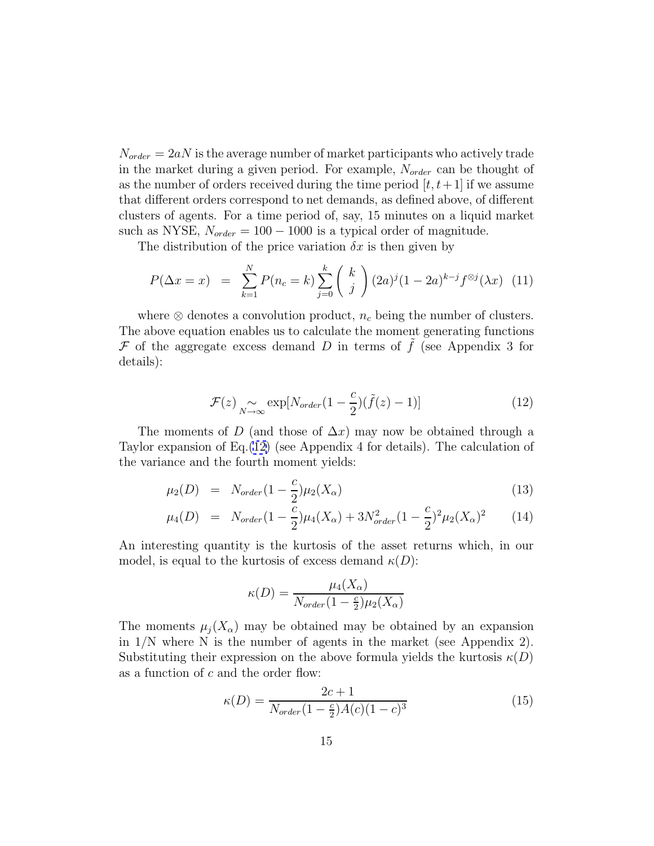<span id="page-14-0"></span> $N_{order} = 2aN$  is the average number of market participants who actively trade in the market during a given period. For example,  $N_{order}$  can be thought of as the number of orders received during the time period  $[t, t+1]$  if we assume that different orders correspond to net demands, as defined above, of different clusters of agents. For a time period of, say, 15 minutes on a liquid market such as NYSE,  $N_{order} = 100 - 1000$  is a typical order of magnitude.

The distribution of the price variation  $\delta x$  is then given by

$$
P(\Delta x = x) = \sum_{k=1}^{N} P(n_c = k) \sum_{j=0}^{k} {k \choose j} (2a)^j (1 - 2a)^{k-j} f^{\otimes j}(\lambda x) \tag{11}
$$

where  $\otimes$  denotes a convolution product,  $n_c$  being the number of clusters. The above equation enables us to calculate the moment generating functions  $\mathcal F$  of the aggregate excess demand D in terms of  $\tilde f$  (see Appendix 3 for details):

$$
\mathcal{F}(z) \underset{N \to \infty}{\sim} \exp[N_{order}(1 - \frac{c}{2})(\tilde{f}(z) - 1)] \tag{12}
$$

The moments of D (and those of  $\Delta x$ ) may now be obtained through a Taylor expansion of Eq.(12) (see Appendix 4 for details). The calculation of the variance and the fourth moment yields:

$$
\mu_2(D) = N_{order} (1 - \frac{c}{2}) \mu_2(X_{\alpha}) \tag{13}
$$

$$
\mu_4(D) = N_{order} (1 - \frac{\overline{c}}{2}) \mu_4(X_{\alpha}) + 3N_{order}^2 (1 - \frac{c}{2})^2 \mu_2(X_{\alpha})^2 \tag{14}
$$

An interesting quantity is the kurtosis of the asset returns which, in our model, is equal to the kurtosis of excess demand  $\kappa(D)$ :

$$
\kappa(D) = \frac{\mu_4(X_{\alpha})}{N_{order}(1 - \frac{c}{2})\mu_2(X_{\alpha})}
$$

The moments  $\mu_i(X_\alpha)$  may be obtained may be obtained by an expansion in  $1/N$  where N is the number of agents in the market (see Appendix 2). Substituting their expression on the above formula yields the kurtosis  $\kappa(D)$ as a function of  $c$  and the order flow:

$$
\kappa(D) = \frac{2c + 1}{N_{order}(1 - \frac{c}{2})A(c)(1 - c)^3}
$$
\n(15)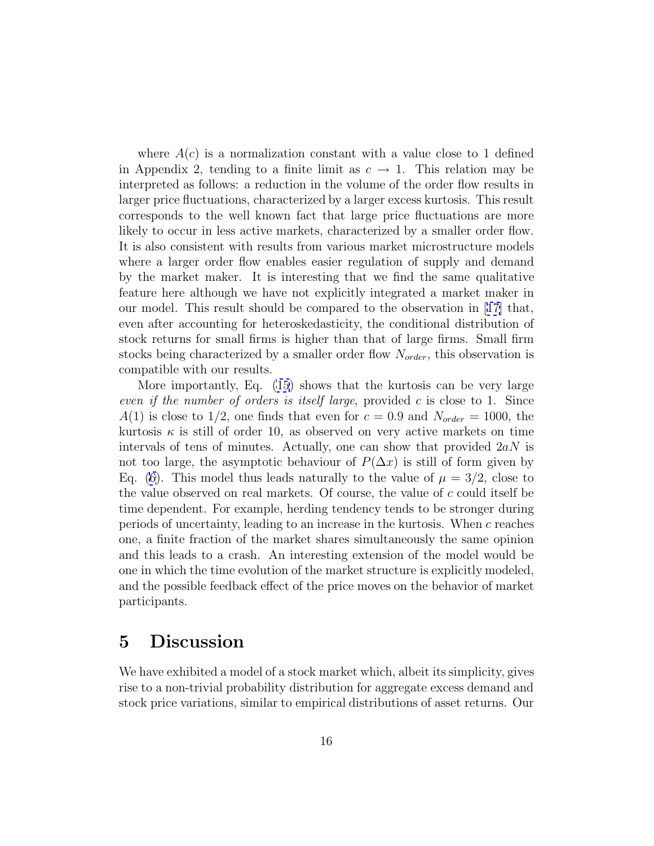where  $A(c)$  is a normalization constant with a value close to 1 defined in Appendix 2, tending to a finite limit as  $c \to 1$ . This relation may be interpreted as follows: a reduction in the volume of the order flow results in larger price fluctuations, characterized by a larger excess kurtosis. This result corresponds to the well known fact that large price fluctuations are more likely to occur in less active markets, characterized by a smaller order flow. It is also consistent with results from various market microstructure models where a larger order flow enables easier regulation of supply and demand by the market maker. It is interesting that we find the same qualitative feature here although we have not explicitly integrated a market maker in our model. This result should be compared to the observation in [[17\]](#page-18-0) that, even after accounting for heteroskedasticity, the conditional distribution of stock returns for small firms is higher than that of large firms. Small firm stocks being characterized by a smaller order flow  $N_{order}$ , this observation is compatible with our results.

More importantly, Eq. [\(15\)](#page-14-0) shows that the kurtosis can be very large even if the number of orders is itself large, provided  $c$  is close to 1. Since  $A(1)$  is close to 1/2, one finds that even for  $c = 0.9$  and  $N_{order} = 1000$ , the kurtosis  $\kappa$  is still of order 10, as observed on very active markets on time intervals of tens of minutes. Actually, one can show that provided  $2aN$  is not too large, the asymptotic behaviour of  $P(\Delta x)$  is still of form given by Eq. [\(6\)](#page-12-0). This model thus leads naturally to the value of  $\mu = 3/2$ , close to the value observed on real markets. Of course, the value of  $c$  could itself be time dependent. For example, herding tendency tends to be stronger during periods of uncertainty, leading to an increase in the kurtosis. When c reaches one, a finite fraction of the market shares simultaneously the same opinion and this leads to a crash. An interesting extension of the model would be one in which the time evolution of the market structure is explicitly modeled, and the possible feedback effect of the price moves on the behavior of market participants.

### **5 Discussion**

We have exhibited a model of a stock market which, albeit its simplicity, gives rise to a non-trivial probability distribution for aggregate excess demand and stock price variations, similar to empirical distributions of asset returns. Our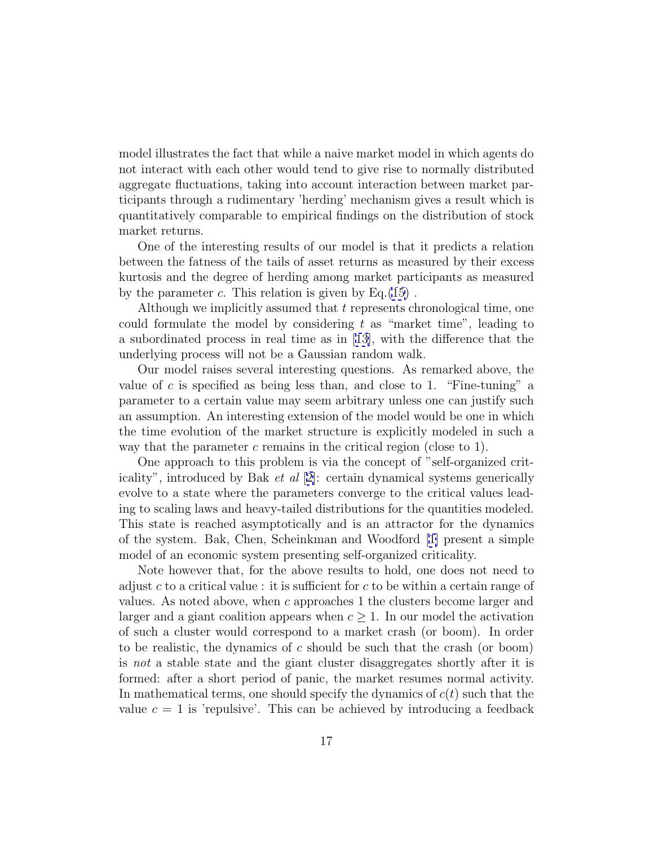model illustrates the fact that while a naive market model in which agents do not interact with each other would tend to give rise to normally distributed aggregate fluctuations, taking into account interaction between market participants through a rudimentary 'herding' mechanism gives a result which is quantitatively comparable to empirical findings on the distribution of stock market returns.

One of the interesting results of our model is that it predicts a relation between the fatness of the tails of asset returns as measured by their excess kurtosis and the degree of herding among market participants as measured by the parameter  $c$ . This relation is given by Eq.[\(15](#page-14-0)).

Although we implicitly assumed that t represents chronological time, one could formulate the model by considering t as "market time", leading to a subordinated process in real time as in [\[13\]](#page-18-0), with the difference that the underlying process will not be a Gaussian random walk.

Our model raises several interesting questions. As remarked above, the value of c is specified as being less than, and close to 1. "Fine-tuning" a parameter to a certain value may seem arbitrary unless one can justify such an assumption. An interesting extension of the model would be one in which the time evolution of the market structure is explicitly modeled in such a way that the parameter  $c$  remains in the critical region (close to 1).

One approach to this problem is via the concept of "self-organized criticality", introduced by Bak et al [[2\]](#page-17-0): certain dynamical systems generically evolve to a state where the parameters converge to the critical values leading to scaling laws and heavy-tailed distributions for the quantities modeled. This state is reached asymptotically and is an attractor for the dynamics of the system. Bak, Chen, Scheinkman and Woodford [[1\]](#page-17-0) present a simple model of an economic system presenting self-organized criticality.

Note however that, for the above results to hold, one does not need to adjust c to a critical value : it is sufficient for c to be within a certain range of values. As noted above, when c approaches 1 the clusters become larger and larger and a giant coalition appears when  $c \geq 1$ . In our model the activation of such a cluster would correspond to a market crash (or boom). In order to be realistic, the dynamics of c should be such that the crash (or boom) is not a stable state and the giant cluster disaggregates shortly after it is formed: after a short period of panic, the market resumes normal activity. In mathematical terms, one should specify the dynamics of  $c(t)$  such that the value  $c = 1$  is 'repulsive'. This can be achieved by introducing a feedback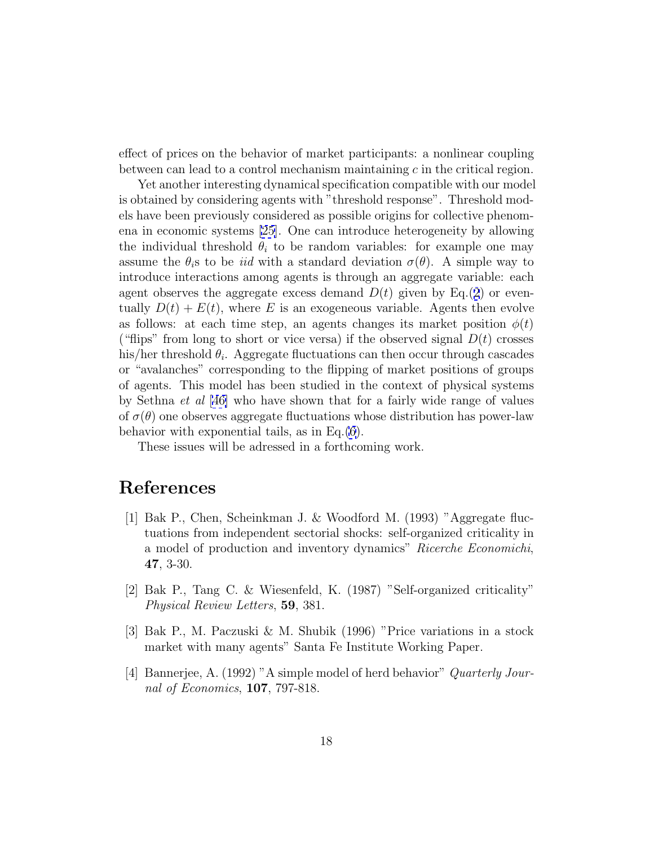<span id="page-17-0"></span>effect of prices on the behavior of market participants: a nonlinear coupling between can lead to a control mechanism maintaining  $c$  in the critical region.

Yet another interesting dynamical specification compatible with our model is obtained by considering agents with "threshold response". Threshold models have been previously considered as possible origins for collective phenomena in economic systems [\[25](#page-19-0)]. One can introduce heterogeneity by allowing the individual threshold  $\theta_i$  to be random variables: for example one may assume the  $\theta_i$ s to be *iid* with a standard deviation  $\sigma(\theta)$ . A simple way to introduce interactions among agents is through an aggregate variable: each agent observes the aggregate excess demand  $D(t)$  given by Eq.([2](#page-6-0)) or eventually  $D(t) + E(t)$ , where E is an exogeneous variable. Agents then evolve as follows: at each time step, an agents changes its market position  $\phi(t)$ ("flips" from long to short or vice versa) if the observed signal  $D(t)$  crosses his/her threshold  $\theta_i$ . Aggregate fluctuations can then occur through cascades or "avalanches" corresponding to the flipping of market positions of groups of agents. This model has been studied in the context of physical systems by Sethna et al [\[46\]](#page-21-0) who have shown that for a fairly wide range of values of  $\sigma(\theta)$  one observes aggregate fluctuations whose distribution has power-law behavior with exponential tails, as in Eq.[\(6](#page-12-0)).

These issues will be adressed in a forthcoming work.

### **References**

- [1] Bak P., Chen, Scheinkman J. & Woodford M. (1993) "Aggregate fluctuations from independent sectorial shocks: self-organized criticality in a model of production and inventory dynamics" Ricerche Economichi, **47**, 3-30.
- [2] Bak P., Tang C. & Wiesenfeld, K. (1987) "Self-organized criticality" Physical Review Letters, **59**, 381.
- [3] Bak P., M. Paczuski & M. Shubik (1996) "Price variations in a stock market with many agents" Santa Fe Institute Working Paper.
- [4] Bannerjee, A. (1992) "A simple model of herd behavior" Quarterly Journal of Economics, **107**, 797-818.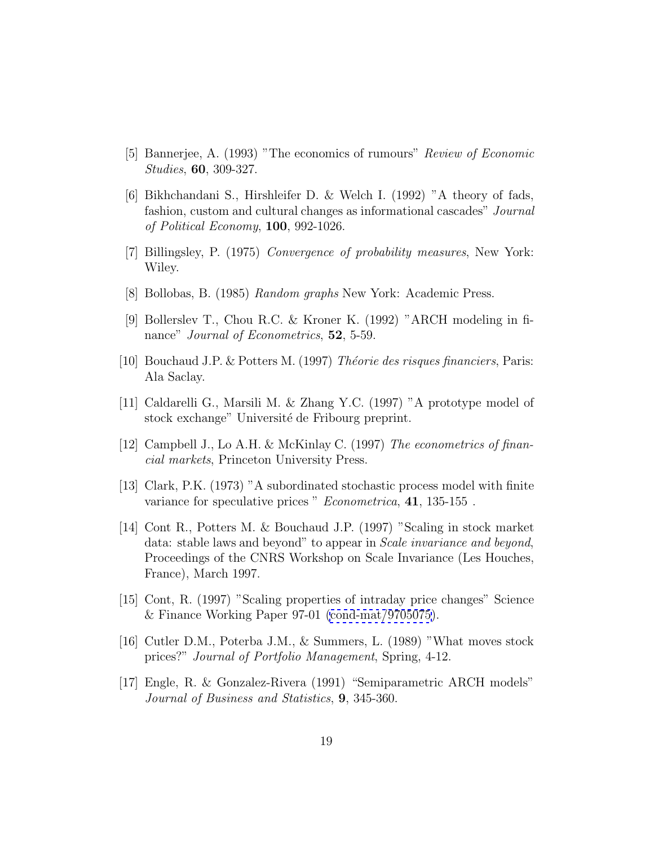- <span id="page-18-0"></span>[5] Bannerjee, A. (1993) "The economics of rumours" Review of Economic Studies, **60**, 309-327.
- [6] Bikhchandani S., Hirshleifer D. & Welch I. (1992) "A theory of fads, fashion, custom and cultural changes as informational cascades" Journal of Political Economy, **100**, 992-1026.
- [7] Billingsley, P. (1975) Convergence of probability measures, New York: Wiley.
- [8] Bollobas, B. (1985) Random graphs New York: Academic Press.
- [9] Bollerslev T., Chou R.C. & Kroner K. (1992) "ARCH modeling in finance" Journal of Econometrics, **52**, 5-59.
- [10] Bouchaud J.P. & Potters M. (1997) Théorie des risques financiers, Paris: Ala Saclay.
- [11] Caldarelli G., Marsili M. & Zhang Y.C. (1997) "A prototype model of stock exchange" Université de Fribourg preprint.
- [12] Campbell J., Lo A.H. & McKinlay C. (1997) The econometrics of financial markets, Princeton University Press.
- [13] Clark, P.K. (1973) "A subordinated stochastic process model with finite variance for speculative prices " Econometrica, **41**, 135-155 .
- [14] Cont R., Potters M. & Bouchaud J.P. (1997) "Scaling in stock market data: stable laws and beyond" to appear in Scale invariance and beyond, Proceedings of the CNRS Workshop on Scale Invariance (Les Houches, France), March 1997.
- [15] Cont, R. (1997) "Scaling properties of intraday price changes" Science & Finance Working Paper 97-01 [\(cond-mat/9705075\)](http://xxx.lanl.gov/abs/cond-mat/9705075).
- [16] Cutler D.M., Poterba J.M., & Summers, L. (1989) "What moves stock prices?" Journal of Portfolio Management, Spring, 4-12.
- [17] Engle, R. & Gonzalez-Rivera (1991) "Semiparametric ARCH models" Journal of Business and Statistics, **9**, 345-360.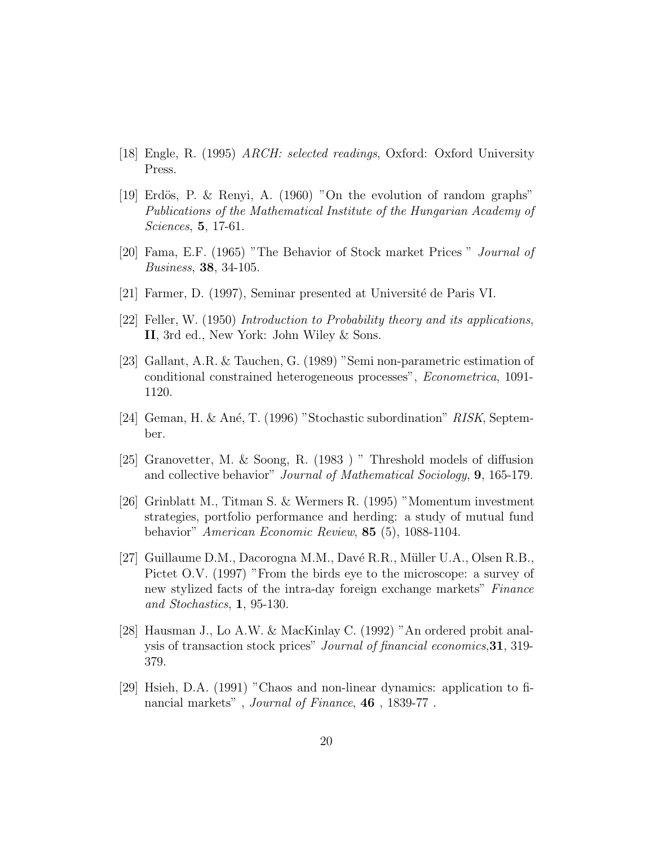- <span id="page-19-0"></span>[18] Engle, R. (1995) ARCH: selected readings, Oxford: Oxford University Press.
- [19] Erdös, P. & Renyi, A.  $(1960)$  "On the evolution of random graphs" Publications of the Mathematical Institute of the Hungarian Academy of Sciences, **5**, 17-61.
- [20] Fama, E.F. (1965) "The Behavior of Stock market Prices " Journal of Business, **38**, 34-105.
- [21] Farmer, D. (1997), Seminar presented at Universit´e de Paris VI.
- [22] Feller, W. (1950) Introduction to Probability theory and its applications, **II**, 3rd ed., New York: John Wiley & Sons.
- [23] Gallant, A.R. & Tauchen, G. (1989) "Semi non-parametric estimation of conditional constrained heterogeneous processes", Econometrica, 1091- 1120.
- [24] Geman, H. & Ané, T. (1996) "Stochastic subordination" RISK, September.
- [25] Granovetter, M. & Soong, R. (1983 ) " Threshold models of diffusion and collective behavior" Journal of Mathematical Sociology, **9**, 165-179.
- [26] Grinblatt M., Titman S. & Wermers R. (1995) "Momentum investment strategies, portfolio performance and herding: a study of mutual fund behavior" American Economic Review, **85** (5), 1088-1104.
- [27] Guillaume D.M., Dacorogna M.M., Davé R.R., Müller U.A., Olsen R.B., Pictet O.V. (1997) "From the birds eye to the microscope: a survey of new stylized facts of the intra-day foreign exchange markets" Finance and Stochastics, **1**, 95-130.
- [28] Hausman J., Lo A.W. & MacKinlay C. (1992) "An ordered probit analysis of transaction stock prices" Journal of financial economics,**31**, 319- 379.
- [29] Hsieh, D.A. (1991) "Chaos and non-linear dynamics: application to financial markets" , Journal of Finance, **46** , 1839-77 .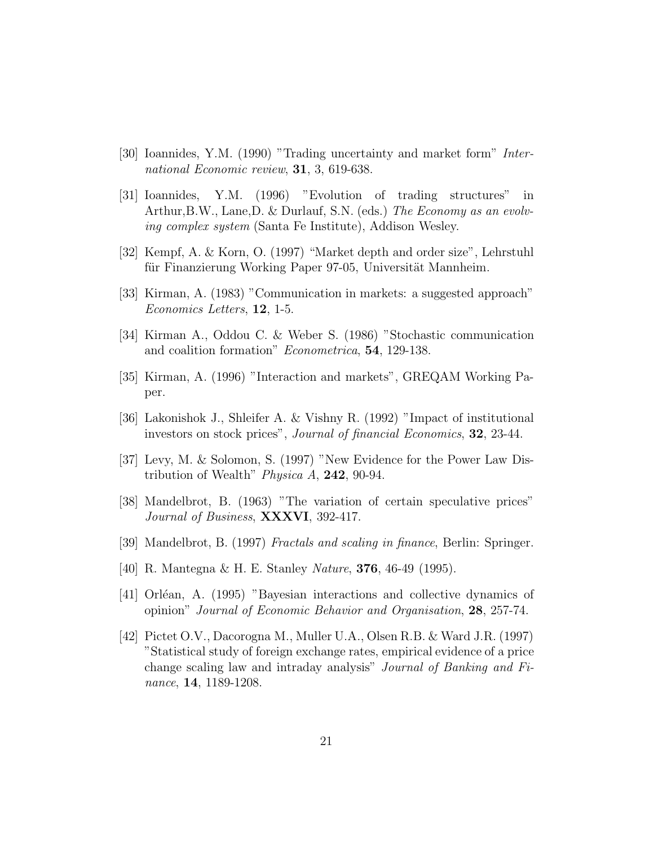- <span id="page-20-0"></span>[30] Ioannides, Y.M. (1990) "Trading uncertainty and market form" International Economic review, **31**, 3, 619-638.
- [31] Ioannides, Y.M. (1996) "Evolution of trading structures" in Arthur,B.W., Lane,D. & Durlauf, S.N. (eds.) The Economy as an evolving complex system (Santa Fe Institute), Addison Wesley.
- [32] Kempf, A. & Korn, O. (1997) "Market depth and order size", Lehrstuhl für Finanzierung Working Paper 97-05, Universität Mannheim.
- [33] Kirman, A. (1983) "Communication in markets: a suggested approach" Economics Letters, **12**, 1-5.
- [34] Kirman A., Oddou C. & Weber S. (1986) "Stochastic communication and coalition formation" Econometrica, **54**, 129-138.
- [35] Kirman, A. (1996) "Interaction and markets", GREQAM Working Paper.
- [36] Lakonishok J., Shleifer A. & Vishny R. (1992) "Impact of institutional investors on stock prices", Journal of financial Economics, **32**, 23-44.
- [37] Levy, M. & Solomon, S. (1997) "New Evidence for the Power Law Distribution of Wealth" Physica A, **242**, 90-94.
- [38] Mandelbrot, B. (1963) "The variation of certain speculative prices" Journal of Business, **XXXVI**, 392-417.
- [39] Mandelbrot, B. (1997) Fractals and scaling in finance, Berlin: Springer.
- [40] R. Mantegna & H. E. Stanley Nature, **376**, 46-49 (1995).
- [41] Orléan, A. (1995) "Bayesian interactions and collective dynamics of opinion" Journal of Economic Behavior and Organisation, **28**, 257-74.
- [42] Pictet O.V., Dacorogna M., Muller U.A., Olsen R.B. & Ward J.R. (1997) "Statistical study of foreign exchange rates, empirical evidence of a price change scaling law and intraday analysis" Journal of Banking and Finance, **14**, 1189-1208.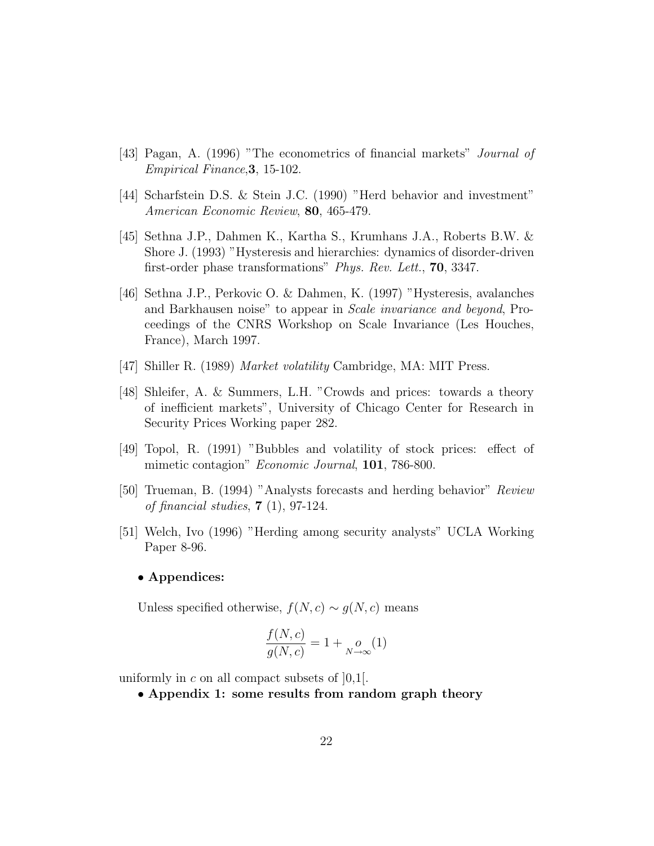- <span id="page-21-0"></span>[43] Pagan, A. (1996) "The econometrics of financial markets" Journal of Empirical Finance,**3**, 15-102.
- [44] Scharfstein D.S. & Stein J.C. (1990) "Herd behavior and investment" American Economic Review, **80**, 465-479.
- [45] Sethna J.P., Dahmen K., Kartha S., Krumhans J.A., Roberts B.W. & Shore J. (1993) "Hysteresis and hierarchies: dynamics of disorder-driven first-order phase transformations" Phys. Rev. Lett., **70**, 3347.
- [46] Sethna J.P., Perkovic O. & Dahmen, K. (1997) "Hysteresis, avalanches and Barkhausen noise" to appear in Scale invariance and beyond, Proceedings of the CNRS Workshop on Scale Invariance (Les Houches, France), March 1997.
- [47] Shiller R. (1989) Market volatility Cambridge, MA: MIT Press.
- [48] Shleifer, A. & Summers, L.H. "Crowds and prices: towards a theory of inefficient markets", University of Chicago Center for Research in Security Prices Working paper 282.
- [49] Topol, R. (1991) "Bubbles and volatility of stock prices: effect of mimetic contagion" Economic Journal, **101**, 786-800.
- [50] Trueman, B. (1994) "Analysts forecasts and herding behavior" Review of financial studies, **7** (1), 97-124.
- [51] Welch, Ivo (1996) "Herding among security analysts" UCLA Working Paper 8-96.

#### • **Appendices:**

Unless specified otherwise,  $f(N, c) \sim g(N, c)$  means

$$
\frac{f(N,c)}{g(N,c)} = 1 + \underset{N \to \infty}{o}(1)
$$

uniformly in c on all compact subsets of  $[0,1]$ .

• **Appendix 1: some results from random graph theory**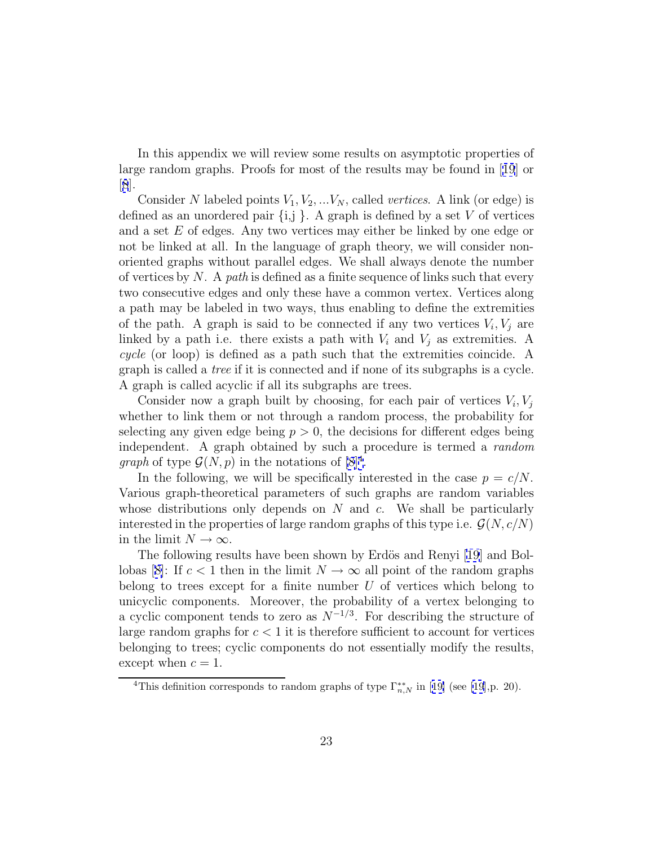In this appendix we will review some results on asymptotic properties of large random graphs. Proofs for most of the results may be found in [[19](#page-19-0)] or [[8](#page-18-0)].

Consider N labeled points  $V_1, V_2, ...V_N$ , called *vertices*. A link (or edge) is defined as an unordered pair  $\{i, j\}$ . A graph is defined by a set V of vertices and a set E of edges. Any two vertices may either be linked by one edge or not be linked at all. In the language of graph theory, we will consider nonoriented graphs without parallel edges. We shall always denote the number of vertices by  $N$ . A path is defined as a finite sequence of links such that every two consecutive edges and only these have a common vertex. Vertices along a path may be labeled in two ways, thus enabling to define the extremities of the path. A graph is said to be connected if any two vertices  $V_i$ ,  $V_j$  are linked by a path i.e. there exists a path with  $V_i$  and  $V_j$  as extremities. A cycle (or loop) is defined as a path such that the extremities coincide. A graph is called a tree if it is connected and if none of its subgraphs is a cycle. A graph is called acyclic if all its subgraphs are trees.

Consider now a graph built by choosing, for each pair of vertices  $V_i$ ,  $V_j$ whether to link them or not through a random process, the probability for selecting any given edge being  $p > 0$ , the decisions for different edges being independent. A graph obtained by such a procedure is termed a random *graph* of type  $\mathcal{G}(N, p)$  in the notations of  $[8]^4$  $[8]^4$ .

In the following, we will be specifically interested in the case  $p = c/N$ . Various graph-theoretical parameters of such graphs are random variables whose distributions only depends on  $N$  and  $c$ . We shall be particularly interested in the properties of large random graphs of this type i.e.  $\mathcal{G}(N, c/N)$ in the limit  $N \to \infty$ .

The following results have been shown by Erdös and Renyi [\[19](#page-19-0)] and Bol-lobas [[8\]](#page-18-0): If  $c < 1$  then in the limit  $N \to \infty$  all point of the random graphs belong to trees except for a finite number  $U$  of vertices which belong to unicyclic components. Moreover, the probability of a vertex belonging to a cyclic component tends to zero as  $N^{-1/3}$ . For describing the structure of large random graphs for  $c < 1$  it is therefore sufficient to account for vertices belonging to trees; cyclic components do not essentially modify the results, except when  $c = 1$ .

<sup>&</sup>lt;sup>4</sup>This definition corresponds to random graphs of type  $\Gamma_{n,N}^{**}$  in [[19\]](#page-19-0) (see [\[19](#page-19-0)], p. 20).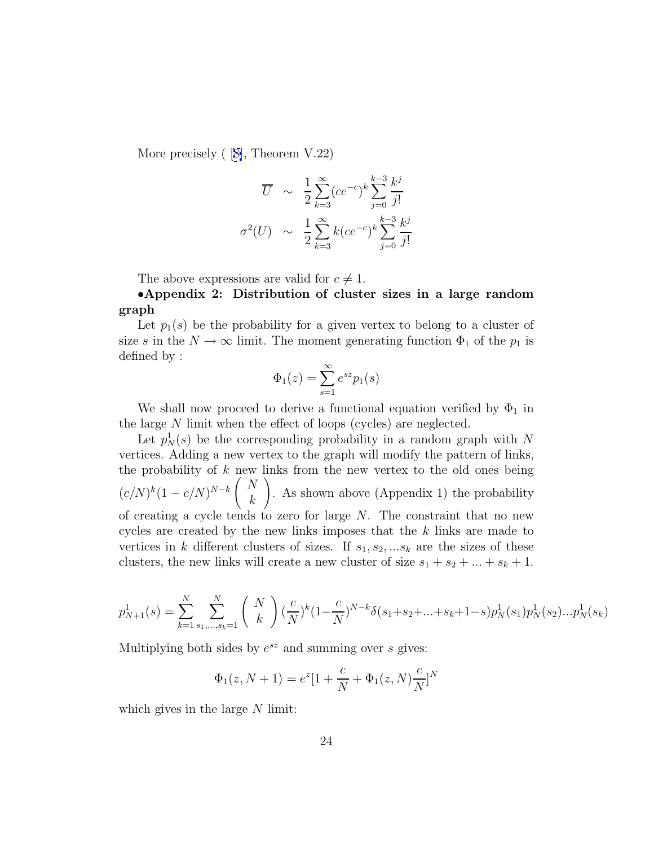More precisely ( [[8\]](#page-18-0), Theorem V.22)

$$
\overline{U} \sim \frac{1}{2} \sum_{k=3}^{\infty} (ce^{-c})^k \sum_{j=0}^{k-3} \frac{k^j}{j!}
$$

$$
\sigma^2(U) \sim \frac{1}{2} \sum_{k=3}^{\infty} k (ce^{-c})^k \sum_{j=0}^{k-3} \frac{k^j}{j!}
$$

The above expressions are valid for  $c \neq 1$ .

•**Appendix 2: Distribution of cluster sizes in a large random graph**

Let  $p_1(s)$  be the probability for a given vertex to belong to a cluster of size s in the  $N \to \infty$  limit. The moment generating function  $\Phi_1$  of the  $p_1$  is defined by :

$$
\Phi_1(z) = \sum_{s=1}^{\infty} e^{sz} p_1(s)
$$

We shall now proceed to derive a functional equation verified by  $\Phi_1$  in the large N limit when the effect of loops (cycles) are neglected.

Let  $p_N^1(s)$  be the corresponding probability in a random graph with N vertices. Adding a new vertex to the graph will modify the pattern of links, the probability of  $k$  new links from the new vertex to the old ones being  $(c/N)^{k}(1-c/N)^{N-k}$  $\left( N\right)$ k ! . As shown above (Appendix 1) the probability of creating a cycle tends to zero for large  $N$ . The constraint that no new cycles are created by the new links imposes that the k links are made to vertices in k different clusters of sizes. If  $s_1, s_2, \ldots s_k$  are the sizes of these clusters, the new links will create a new cluster of size  $s_1 + s_2 + \ldots + s_k + 1$ .

$$
p_{N+1}^1(s) = \sum_{k=1}^N \sum_{s_1,\dots,s_k=1}^N \binom{N}{k} \left(\frac{c}{N}\right)^k (1-\frac{c}{N})^{N-k} \delta(s_1+s_2+\dots+s_k+1-s) p_N^1(s_1) p_N^1(s_2) \dots p_N^1(s_k)
$$

Multiplying both sides by  $e^{sz}$  and summing over s gives:

$$
\Phi_1(z, N+1) = e^z [1 + \frac{c}{N} + \Phi_1(z, N) \frac{c}{N}]^N
$$

which gives in the large  $N$  limit: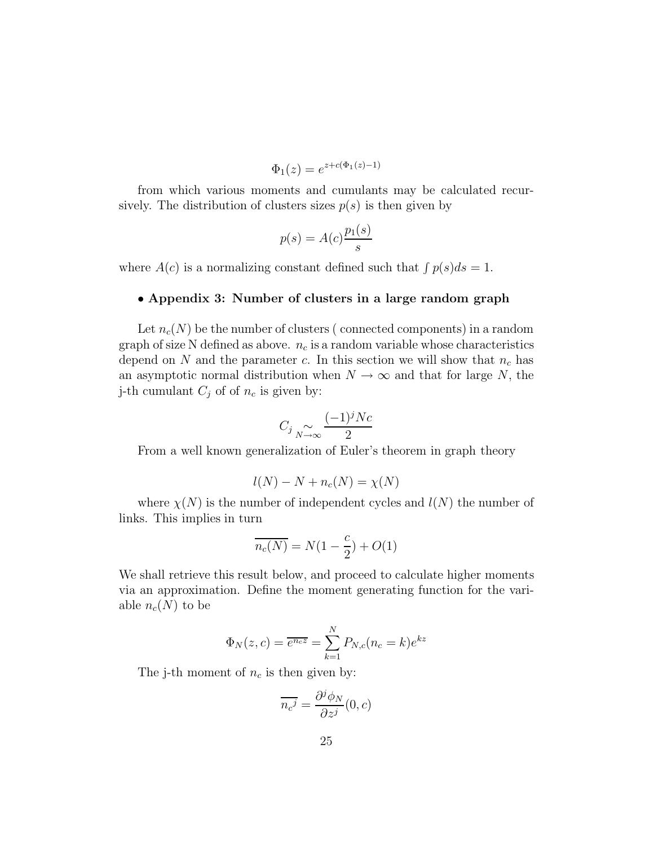$$
\Phi_1(z) = e^{z + c(\Phi_1(z) - 1)}
$$

from which various moments and cumulants may be calculated recursively. The distribution of clusters sizes  $p(s)$  is then given by

$$
p(s) = A(c)\frac{p_1(s)}{s}
$$

where  $A(c)$  is a normalizing constant defined such that  $\int p(s)ds = 1$ .

#### • **Appendix 3: Number of clusters in a large random graph**

Let  $n_c(N)$  be the number of clusters (connected components) in a random graph of size N defined as above.  $n_c$  is a random variable whose characteristics depend on N and the parameter c. In this section we will show that  $n_c$  has an asymptotic normal distribution when  $N \to \infty$  and that for large N, the j-th cumulant  $C_j$  of of  $n_c$  is given by:

$$
C_j \underset{N \to \infty}{\sim} \frac{(-1)^j N c}{2}
$$

From a well known generalization of Euler's theorem in graph theory

$$
l(N) - N + n_c(N) = \chi(N)
$$

where  $\chi(N)$  is the number of independent cycles and  $l(N)$  the number of links. This implies in turn

$$
\overline{n_c(N)} = N(1 - \frac{c}{2}) + O(1)
$$

We shall retrieve this result below, and proceed to calculate higher moments via an approximation. Define the moment generating function for the variable  $n_c(N)$  to be

$$
\Phi_N(z, c) = \overline{e^{n_c z}} = \sum_{k=1}^N P_{N,c}(n_c = k)e^{kz}
$$

The j-th moment of  $n_c$  is then given by:

$$
\overline{n_c^j} = \frac{\partial^j \phi_N}{\partial z^j}(0, c)
$$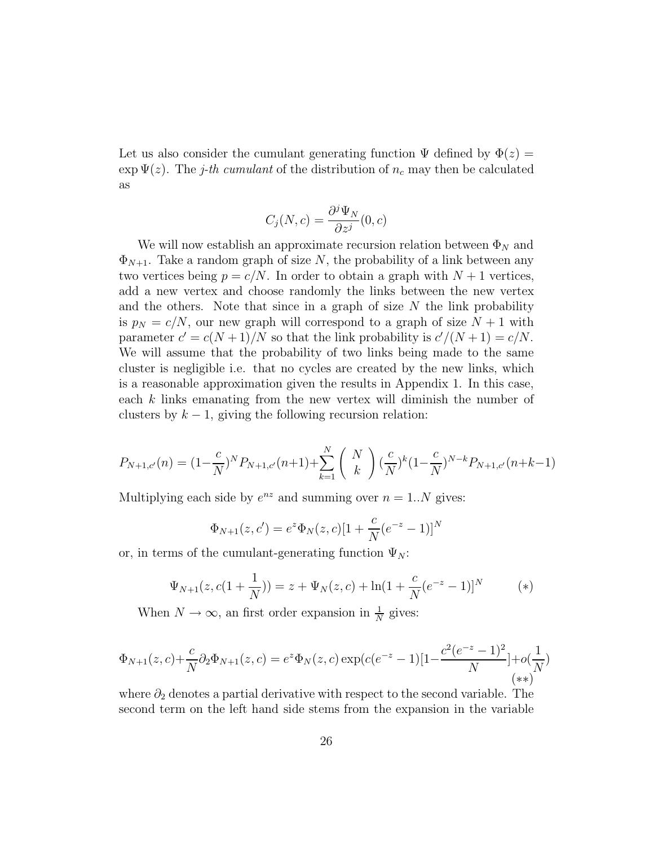Let us also consider the cumulant generating function  $\Psi$  defined by  $\Phi(z)$  =  $\exp \Psi(z)$ . The j-th cumulant of the distribution of  $n_c$  may then be calculated as

$$
C_j(N,c) = \frac{\partial^j \Psi_N}{\partial z^j}(0,c)
$$

We will now establish an approximate recursion relation between  $\Phi_N$  and  $\Phi_{N+1}$ . Take a random graph of size N, the probability of a link between any two vertices being  $p = c/N$ . In order to obtain a graph with  $N + 1$  vertices, add a new vertex and choose randomly the links between the new vertex and the others. Note that since in a graph of size  $N$  the link probability is  $p_N = c/N$ , our new graph will correspond to a graph of size  $N + 1$  with parameter  $c' = c(N + 1)/N$  so that the link probability is  $c'/(N + 1) = c/N$ . We will assume that the probability of two links being made to the same cluster is negligible i.e. that no cycles are created by the new links, which is a reasonable approximation given the results in Appendix 1. In this case, each k links emanating from the new vertex will diminish the number of clusters by  $k - 1$ , giving the following recursion relation:

$$
P_{N+1,c'}(n) = (1 - \frac{c}{N})^N P_{N+1,c'}(n+1) + \sum_{k=1}^N {N \choose k} (\frac{c}{N})^k (1 - \frac{c}{N})^{N-k} P_{N+1,c'}(n+k-1)
$$

Multiplying each side by  $e^{nz}$  and summing over  $n = 1..N$  gives:

$$
\Phi_{N+1}(z, c') = e^z \Phi_N(z, c) [1 + \frac{c}{N} (e^{-z} - 1)]^N
$$

or, in terms of the cumulant-generating function  $\Psi_N$ :

$$
\Psi_{N+1}(z, c(1+\frac{1}{N})) = z + \Psi_N(z, c) + \ln(1+\frac{c}{N}(e^{-z}-1))^N
$$
 (\*)

When  $N \to \infty$ , an first order expansion in  $\frac{1}{N}$  gives:

$$
\Phi_{N+1}(z,c) + \frac{c}{N} \partial_2 \Phi_{N+1}(z,c) = e^z \Phi_N(z,c) \exp(c(e^{-z}-1)[1-\frac{c^2(e^{-z}-1)^2}{N}] + o(\frac{1}{N})
$$
\n
$$
(**)
$$

where  $\partial_2$  denotes a partial derivative with respect to the second variable. The second term on the left hand side stems from the expansion in the variable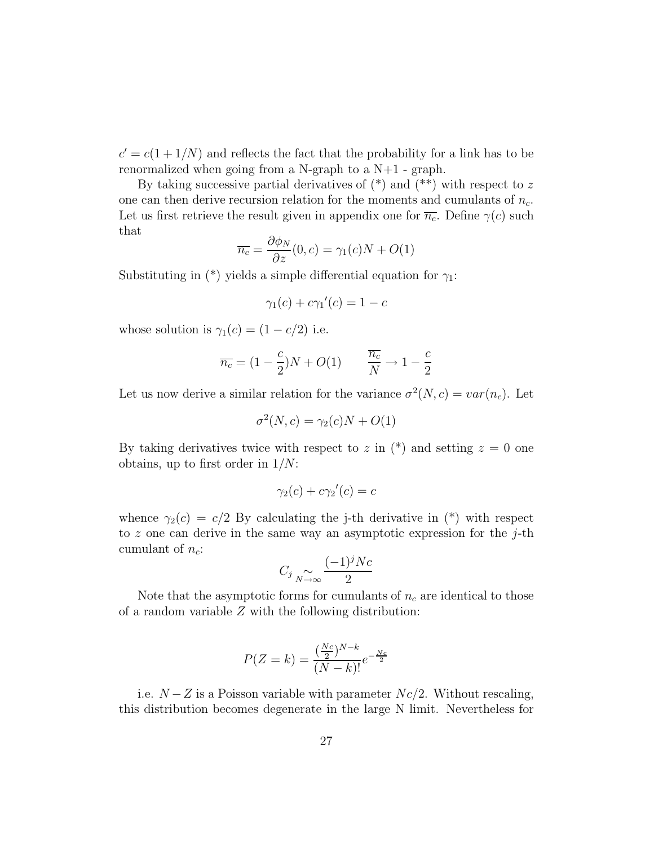$c' = c(1 + 1/N)$  and reflects the fact that the probability for a link has to be renormalized when going from a N-graph to a N+1 - graph.

By taking successive partial derivatives of  $(*)$  and  $(**)$  with respect to z one can then derive recursion relation for the moments and cumulants of  $n_c$ . Let us first retrieve the result given in appendix one for  $\overline{n_c}$ . Define  $\gamma(c)$  such that

$$
\overline{n_c} = \frac{\partial \phi_N}{\partial z}(0, c) = \gamma_1(c)N + O(1)
$$

Substituting in (\*) yields a simple differential equation for  $\gamma_1$ :

$$
\gamma_1(c) + c\gamma_1'(c) = 1 - c
$$

whose solution is  $\gamma_1(c) = (1 - c/2)$  i.e.

$$
\overline{n_c} = (1 - \frac{c}{2})N + O(1) \qquad \frac{\overline{n_c}}{N} \to 1 - \frac{c}{2}
$$

Let us now derive a similar relation for the variance  $\sigma^2(N, c) = var(n_c)$ . Let

$$
\sigma^2(N, c) = \gamma_2(c)N + O(1)
$$

By taking derivatives twice with respect to z in  $(*)$  and setting  $z = 0$  one obtains, up to first order in  $1/N$ :

$$
\gamma_2(c) + c\gamma_2'(c) = c
$$

whence  $\gamma_2(c) = c/2$  By calculating the j-th derivative in (\*) with respect to z one can derive in the same way an asymptotic expression for the  $j$ -th cumulant of  $n_c$ :

$$
C_j \underset{N \to \infty}{\sim} \frac{(-1)^j N c}{2}
$$

Note that the asymptotic forms for cumulants of  $n_c$  are identical to those of a random variable Z with the following distribution:

$$
P(Z = k) = \frac{\left(\frac{Nc}{2}\right)^{N-k}}{(N-k)!}e^{-\frac{Nc}{2}}
$$

i.e.  $N-Z$  is a Poisson variable with parameter  $Nc/2$ . Without rescaling, this distribution becomes degenerate in the large N limit. Nevertheless for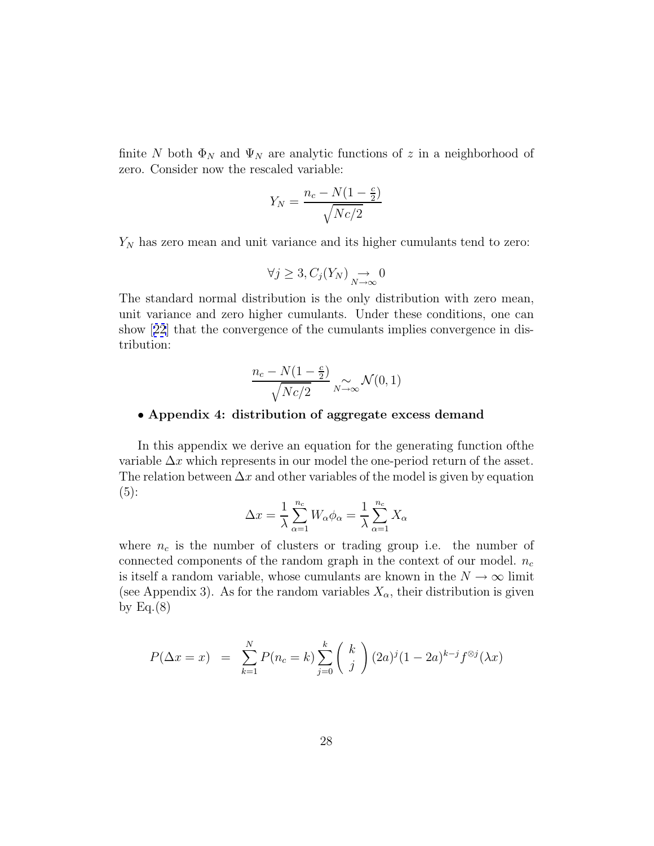finite N both  $\Phi_N$  and  $\Psi_N$  are analytic functions of z in a neighborhood of zero. Consider now the rescaled variable:

$$
Y_N = \frac{n_c - N(1 - \frac{c}{2})}{\sqrt{Nc/2}}
$$

 $Y_N$  has zero mean and unit variance and its higher cumulants tend to zero:

$$
\forall j \geq 3, C_j(Y_N) \underset{N \to \infty}{\to} 0
$$

The standard normal distribution is the only distribution with zero mean, unit variance and zero higher cumulants. Under these conditions, one can show [[22](#page-19-0)] that the convergence of the cumulants implies convergence in distribution:

$$
\frac{n_c - N(1 - \frac{c}{2})}{\sqrt{Nc/2}} \sim \mathcal{N}(0, 1)
$$

#### • **Appendix 4: distribution of aggregate excess demand**

In this appendix we derive an equation for the generating function ofthe variable  $\Delta x$  which represents in our model the one-period return of the asset. The relation between  $\Delta x$  and other variables of the model is given by equation (5):

$$
\Delta x = \frac{1}{\lambda} \sum_{\alpha=1}^{n_c} W_{\alpha} \phi_{\alpha} = \frac{1}{\lambda} \sum_{\alpha=1}^{n_c} X_{\alpha}
$$

where  $n_c$  is the number of clusters or trading group i.e. the number of connected components of the random graph in the context of our model.  $n_c$ is itself a random variable, whose cumulants are known in the  $N \to \infty$  limit (see Appendix 3). As for the random variables  $X_{\alpha}$ , their distribution is given by Eq. $(8)$ 

$$
P(\Delta x = x) = \sum_{k=1}^{N} P(n_c = k) \sum_{j=0}^{k} {k \choose j} (2a)^j (1 - 2a)^{k-j} f^{\otimes j}(\lambda x)
$$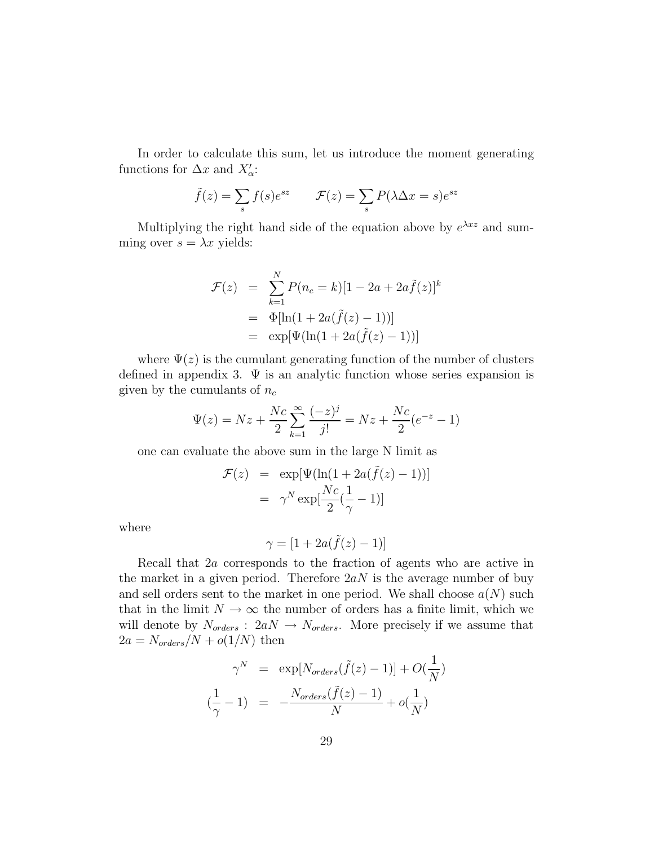In order to calculate this sum, let us introduce the moment generating functions for  $\Delta x$  and  $X'_{\alpha}$ :

$$
\tilde{f}(z) = \sum_{s} f(s)e^{sz}
$$
  $\mathcal{F}(z) = \sum_{s} P(\lambda \Delta x = s)e^{sz}$ 

Multiplying the right hand side of the equation above by  $e^{\lambda x z}$  and summing over  $s = \lambda x$  yields:

$$
\mathcal{F}(z) = \sum_{k=1}^{N} P(n_c = k)[1 - 2a + 2a\tilde{f}(z)]^k
$$
  
=  $\Phi[\ln(1 + 2a(\tilde{f}(z) - 1))]$   
=  $\exp[\Psi(\ln(1 + 2a(\tilde{f}(z) - 1)))]$ 

where  $\Psi(z)$  is the cumulant generating function of the number of clusters defined in appendix 3.  $\Psi$  is an analytic function whose series expansion is given by the cumulants of  $n_c$ 

$$
\Psi(z) = Nz + \frac{Nc}{2} \sum_{k=1}^{\infty} \frac{(-z)^j}{j!} = Nz + \frac{Nc}{2} (e^{-z} - 1)
$$

one can evaluate the above sum in the large N limit as

$$
\mathcal{F}(z) = \exp[\Psi(\ln(1 + 2a(\tilde{f}(z) - 1)))]
$$

$$
= \gamma^N \exp[\frac{Nc}{2}(\frac{1}{\gamma} - 1)]
$$

where

$$
\gamma=[1+2a(\tilde{f}(z)-1)]
$$

Recall that 2a corresponds to the fraction of agents who are active in the market in a given period. Therefore  $2aN$  is the average number of buy and sell orders sent to the market in one period. We shall choose  $a(N)$  such that in the limit  $N \to \infty$  the number of orders has a finite limit, which we will denote by  $N_{orders}$ :  $2aN \rightarrow N_{orders}$ . More precisely if we assume that  $2a = N_{orders}/N + o(1/N)$  then

$$
\gamma^N = \exp[N_{orders}(\tilde{f}(z) - 1)] + O(\frac{1}{N})
$$

$$
(\frac{1}{\gamma} - 1) = -\frac{N_{orders}(\tilde{f}(z) - 1)}{N} + o(\frac{1}{N})
$$